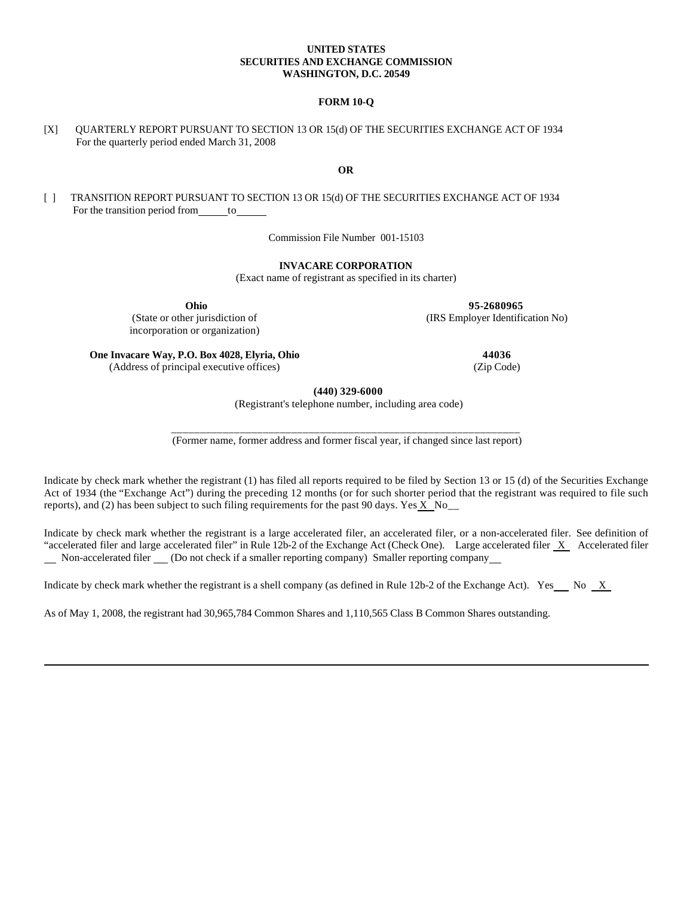### **UNITED STATES SECURITIES AND EXCHANGE COMMISSION WASHINGTON, D.C. 20549**

### **FORM 10-Q**

[X] QUARTERLY REPORT PURSUANT TO SECTION 13 OR 15(d) OF THE SECURITIES EXCHANGE ACT OF 1934 For the quarterly period ended March 31, 2008

# **OR**

[ ] TRANSITION REPORT PURSUANT TO SECTION 13 OR 15(d) OF THE SECURITIES EXCHANGE ACT OF 1934 For the transition period from to

Commission File Number 001-15103

**INVACARE CORPORATION**

(Exact name of registrant as specified in its charter)

(State or other jurisdiction of

**Ohio 95-2680965** (IRS Employer Identification No)

incorporation or organization) **One Invacare Way, P.O. Box 4028, Elyria, Ohio 44036**

(Address of principal executive offices) (Zip Code)

**(440) 329-6000**

(Registrant's telephone number, including area code)

\_\_\_\_\_\_\_\_\_\_\_\_\_\_\_\_\_\_\_\_\_\_\_\_\_\_\_\_\_\_\_\_\_\_\_\_\_\_\_\_\_\_\_\_\_\_\_\_\_\_\_\_\_\_\_\_\_\_\_\_\_ (Former name, former address and former fiscal year, if changed since last report)

Indicate by check mark whether the registrant (1) has filed all reports required to be filed by Section 13 or 15 (d) of the Securities Exchange Act of 1934 (the "Exchange Act") during the preceding 12 months (or for such shorter period that the registrant was required to file such reports), and (2) has been subject to such filing requirements for the past 90 days. Yes  $\overline{X}$  No\_

Indicate by check mark whether the registrant is a large accelerated filer, an accelerated filer, or a non-accelerated filer. See definition of "accelerated filer and large accelerated filer" in Rule 12b-2 of the Exchange Act (Check One). Large accelerated filer X Accelerated filer Non-accelerated filer (Do not check if a smaller reporting company) Smaller reporting company

Indicate by check mark whether the registrant is a shell company (as defined in Rule 12b-2 of the Exchange Act). Yes No X

As of May 1, 2008, the registrant had 30,965,784 Common Shares and 1,110,565 Class B Common Shares outstanding.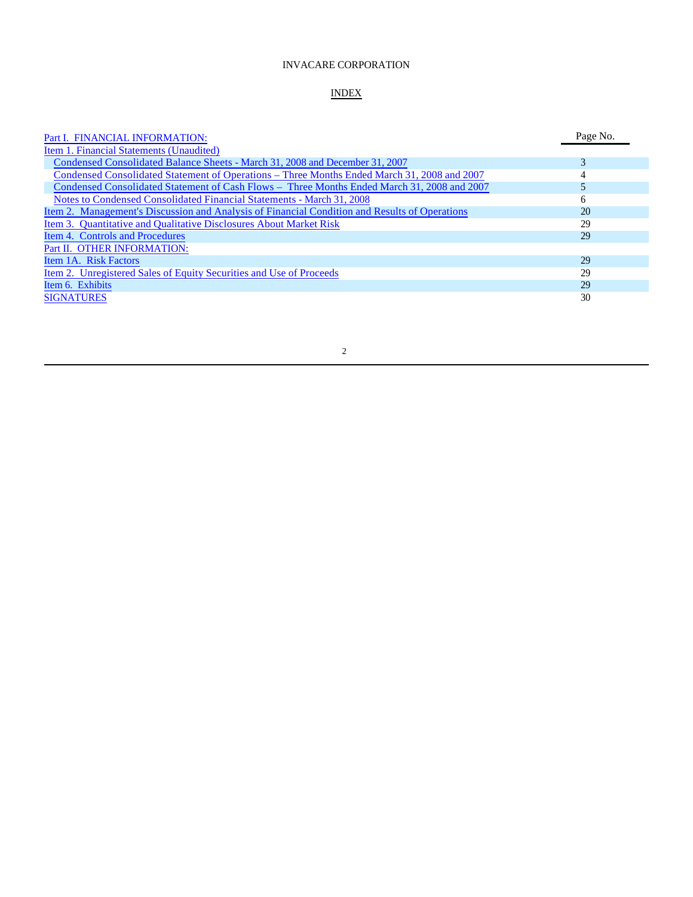# INVACARE CORPORATION

# INDEX

| Part I. FINANCIAL INFORMATION:                                                                | Page No.     |
|-----------------------------------------------------------------------------------------------|--------------|
| Item 1. Financial Statements (Unaudited)                                                      |              |
| Condensed Consolidated Balance Sheets - March 31, 2008 and December 31, 2007                  | 3            |
| Condensed Consolidated Statement of Operations - Three Months Ended March 31, 2008 and 2007   |              |
| Condensed Consolidated Statement of Cash Flows - Three Months Ended March 31, 2008 and 2007   |              |
| Notes to Condensed Consolidated Financial Statements - March 31, 2008                         | <sub>6</sub> |
| Item 2. Management's Discussion and Analysis of Financial Condition and Results of Operations | 20           |
| Item 3. Quantitative and Qualitative Disclosures About Market Risk                            | 29           |
| Item 4. Controls and Procedures                                                               | 29           |
| Part II. OTHER INFORMATION:                                                                   |              |
| <b>Item 1A. Risk Factors</b>                                                                  | 29           |
| Item 2. Unregistered Sales of Equity Securities and Use of Proceeds                           | 29           |
| Item 6. Exhibits                                                                              | 29           |
| <b>SIGNATURES</b>                                                                             | 30           |
|                                                                                               |              |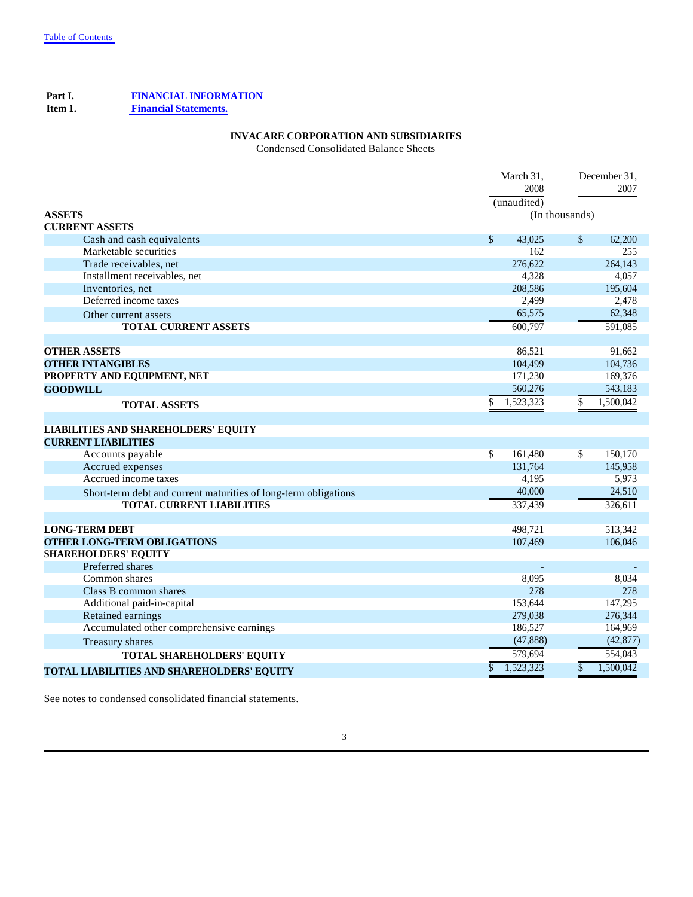**Part I. FINANCIAL INFORMATION**<br>**Financial Statements. Financial Statements.** 

# **INVACARE CORPORATION AND SUBSIDIARIES**

Condensed Consolidated Balance Sheets

|                                                                 | March 31,       |                |                        |
|-----------------------------------------------------------------|-----------------|----------------|------------------------|
|                                                                 |                 | 2008           | 2007                   |
|                                                                 | (unaudited)     |                |                        |
| <b>ASSETS</b>                                                   |                 | (In thousands) |                        |
| <b>CURRENT ASSETS</b>                                           |                 |                |                        |
| Cash and cash equivalents                                       | $\mathbb{S}$    | 43.025         | $\mathbb{S}$<br>62,200 |
| Marketable securities                                           |                 | 162            | 255                    |
| Trade receivables, net                                          | 276,622         |                | 264,143                |
| Installment receivables, net                                    |                 | 4,328          | 4,057                  |
| Inventories, net                                                | 208,586         |                | 195,604                |
| Deferred income taxes                                           |                 | 2,499          | 2,478                  |
| Other current assets                                            |                 | 65,575         | 62,348                 |
| <b>TOTAL CURRENT ASSETS</b>                                     | 600,797         |                | 591,085                |
| <b>OTHER ASSETS</b>                                             |                 | 86,521         | 91,662                 |
| <b>OTHER INTANGIBLES</b>                                        | 104,499         |                | 104,736                |
| PROPERTY AND EQUIPMENT, NET                                     | 171,230         |                | 169,376                |
| <b>GOODWILL</b>                                                 | 560,276         |                | 543,183                |
| <b>TOTAL ASSETS</b>                                             | 1,523,323       |                | 1,500,042              |
|                                                                 |                 |                |                        |
| <b>LIABILITIES AND SHAREHOLDERS' EQUITY</b>                     |                 |                |                        |
| <b>CURRENT LIABILITIES</b>                                      |                 |                |                        |
| Accounts payable                                                | \$<br>161,480   |                | \$<br>150,170          |
| Accrued expenses                                                | 131,764         |                | 145,958                |
| Accrued income taxes                                            |                 | 4,195          | 5,973                  |
| Short-term debt and current maturities of long-term obligations |                 | 40,000         | 24,510                 |
| <b>TOTAL CURRENT LIABILITIES</b>                                | 337,439         |                | 326,611                |
| <b>LONG-TERM DEBT</b>                                           | 498,721         |                | 513,342                |
| OTHER LONG-TERM OBLIGATIONS                                     | 107,469         |                | 106,046                |
| <b>SHAREHOLDERS' EQUITY</b>                                     |                 |                |                        |
| Preferred shares                                                |                 |                |                        |
| Common shares                                                   |                 | 8,095          | 8,034                  |
| Class B common shares                                           |                 | 278            | 278                    |
| Additional paid-in-capital                                      | 153,644         |                | 147,295                |
| Retained earnings                                               | 279,038         |                | 276,344                |
| Accumulated other comprehensive earnings                        | 186,527         |                | 164,969                |
| Treasury shares                                                 |                 | (47, 888)      | (42, 877)              |
| TOTAL SHAREHOLDERS' EQUITY                                      | 579,694         |                | 554,043                |
| TOTAL LIABILITIES AND SHAREHOLDERS' EQUITY                      | 1,523,323<br>\$ |                | 1,500,042<br>\$        |

See notes to condensed consolidated financial statements.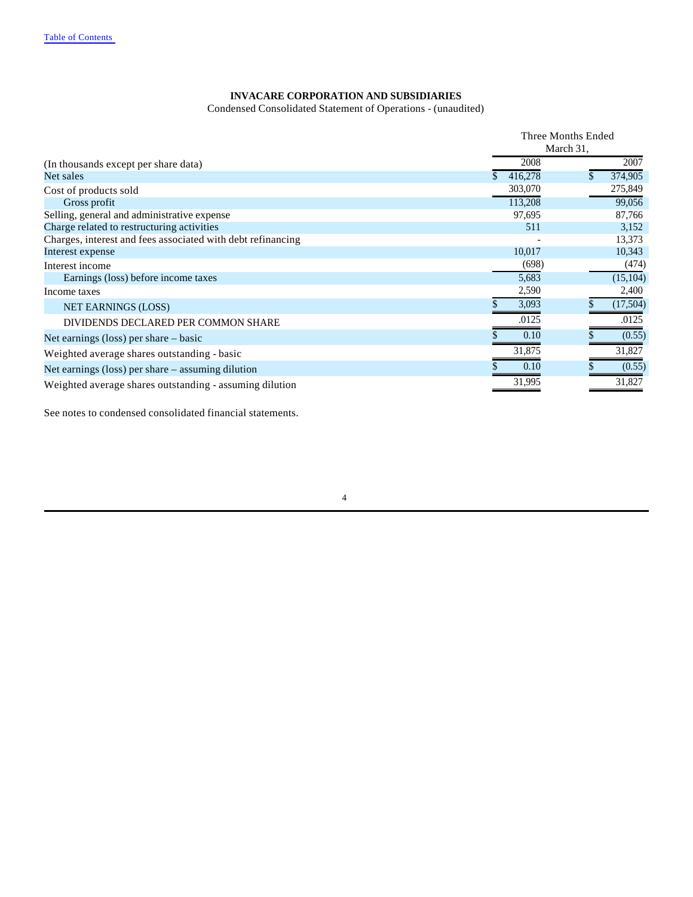# **INVACARE CORPORATION AND SUBSIDIARIES**

Condensed Consolidated Statement of Operations - (unaudited)

|                                                             | Three Months Ended<br>March 31, |                          |
|-------------------------------------------------------------|---------------------------------|--------------------------|
| (In thousands except per share data)                        | 2008                            | 2007                     |
| Net sales                                                   | 416,278                         | $\mathcal{S}$<br>374,905 |
| Cost of products sold                                       | 303,070                         | 275,849                  |
| Gross profit                                                | 113,208                         | 99,056                   |
| Selling, general and administrative expense                 | 97,695                          | 87,766                   |
| Charge related to restructuring activities                  | 511                             | 3,152                    |
| Charges, interest and fees associated with debt refinancing |                                 | 13,373                   |
| Interest expense                                            | 10,017                          | 10,343                   |
| Interest income                                             | (698)                           | (474)                    |
| Earnings (loss) before income taxes                         | 5,683                           | (15, 104)                |
| Income taxes                                                | 2,590                           | 2,400                    |
| <b>NET EARNINGS (LOSS)</b>                                  | 3,093                           | (17,504)                 |
| DIVIDENDS DECLARED PER COMMON SHARE                         | .0125                           | .0125                    |
| Net earnings (loss) per share – basic                       | 0.10                            | (0.55)                   |
| Weighted average shares outstanding - basic                 | 31,875                          | 31,827                   |
| Net earnings (loss) per share $-$ assuming dilution         | 0.10                            | (0.55)                   |
| Weighted average shares outstanding - assuming dilution     | 31,995                          | 31,827                   |

See notes to condensed consolidated financial statements.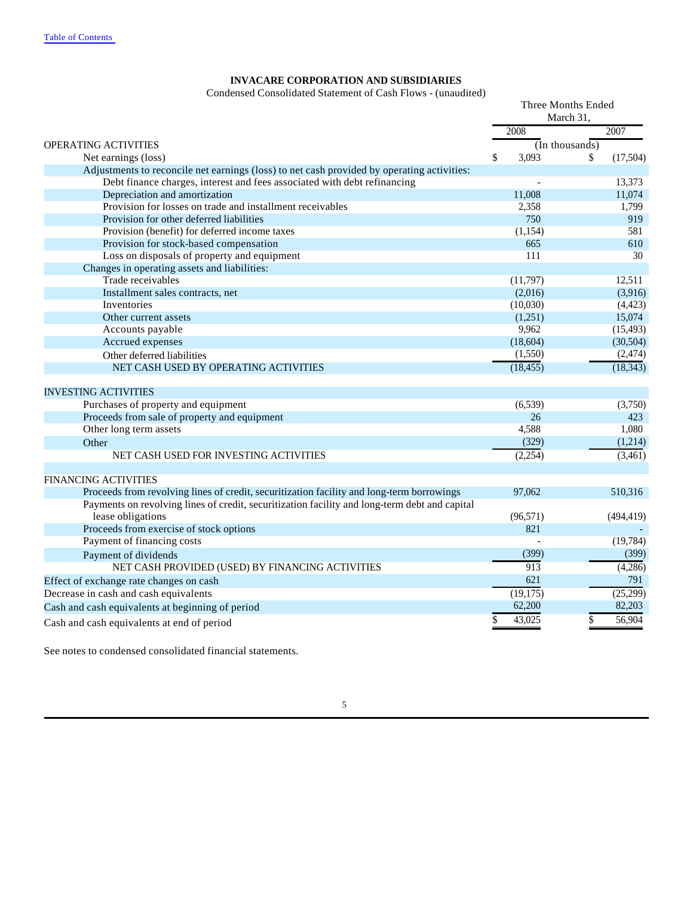# **INVACARE CORPORATION AND SUBSIDIARIES**

Condensed Consolidated Statement of Cash Flows - (unaudited)

|                                                                                               |              | Three Months Ended<br>March 31, |            |
|-----------------------------------------------------------------------------------------------|--------------|---------------------------------|------------|
|                                                                                               | 2008         |                                 | 2007       |
| <b>OPERATING ACTIVITIES</b>                                                                   |              | (In thousands)                  |            |
| Net earnings (loss)                                                                           | 3,093<br>\$  | \$.                             | (17,504)   |
| Adjustments to reconcile net earnings (loss) to net cash provided by operating activities:    |              |                                 |            |
| Debt finance charges, interest and fees associated with debt refinancing                      |              |                                 | 13,373     |
| Depreciation and amortization                                                                 | 11,008       |                                 | 11,074     |
| Provision for losses on trade and installment receivables                                     | 2,358        |                                 | 1,799      |
| Provision for other deferred liabilities                                                      | 750          |                                 | 919        |
| Provision (benefit) for deferred income taxes                                                 | (1,154)      |                                 | 581        |
| Provision for stock-based compensation                                                        | 665          |                                 | 610        |
| Loss on disposals of property and equipment                                                   | 111          |                                 | 30         |
| Changes in operating assets and liabilities:                                                  |              |                                 |            |
| <b>Trade receivables</b>                                                                      | (11,797)     |                                 | 12,511     |
| Installment sales contracts, net                                                              | (2,016)      |                                 | (3,916)    |
| Inventories                                                                                   | (10,030)     |                                 | (4, 423)   |
| Other current assets                                                                          | (1,251)      |                                 | 15,074     |
| Accounts payable                                                                              | 9,962        |                                 | (15, 493)  |
| Accrued expenses                                                                              | (18, 604)    |                                 | (30, 504)  |
| Other deferred liabilities                                                                    | (1,550)      |                                 | (2, 474)   |
| NET CASH USED BY OPERATING ACTIVITIES                                                         | (18, 455)    |                                 | (18, 343)  |
|                                                                                               |              |                                 |            |
| <b>INVESTING ACTIVITIES</b>                                                                   |              |                                 |            |
| Purchases of property and equipment                                                           | (6, 539)     |                                 | (3,750)    |
| Proceeds from sale of property and equipment                                                  | 26           |                                 | 423        |
| Other long term assets                                                                        | 4,588        |                                 | 1,080      |
| Other                                                                                         | (329)        |                                 | (1,214)    |
| NET CASH USED FOR INVESTING ACTIVITIES                                                        | (2,254)      |                                 | (3,461)    |
|                                                                                               |              |                                 |            |
| <b>FINANCING ACTIVITIES</b>                                                                   |              |                                 |            |
| Proceeds from revolving lines of credit, securitization facility and long-term borrowings     | 97.062       |                                 | 510,316    |
| Payments on revolving lines of credit, securitization facility and long-term debt and capital |              |                                 |            |
| lease obligations                                                                             | (96, 571)    |                                 | (494, 419) |
| Proceeds from exercise of stock options                                                       | 821          |                                 |            |
| Payment of financing costs                                                                    |              |                                 | (19, 784)  |
| Payment of dividends                                                                          | (399)        |                                 | (399)      |
| NET CASH PROVIDED (USED) BY FINANCING ACTIVITIES                                              | 913          |                                 | (4,286)    |
| Effect of exchange rate changes on cash                                                       | 621          |                                 | 791        |
| Decrease in cash and cash equivalents                                                         | (19,175)     |                                 | (25,299)   |
| Cash and cash equivalents at beginning of period                                              | 62,200       |                                 | 82,203     |
| Cash and cash equivalents at end of period                                                    | 43,025<br>\$ | \$                              | 56,904     |

See notes to condensed consolidated financial statements.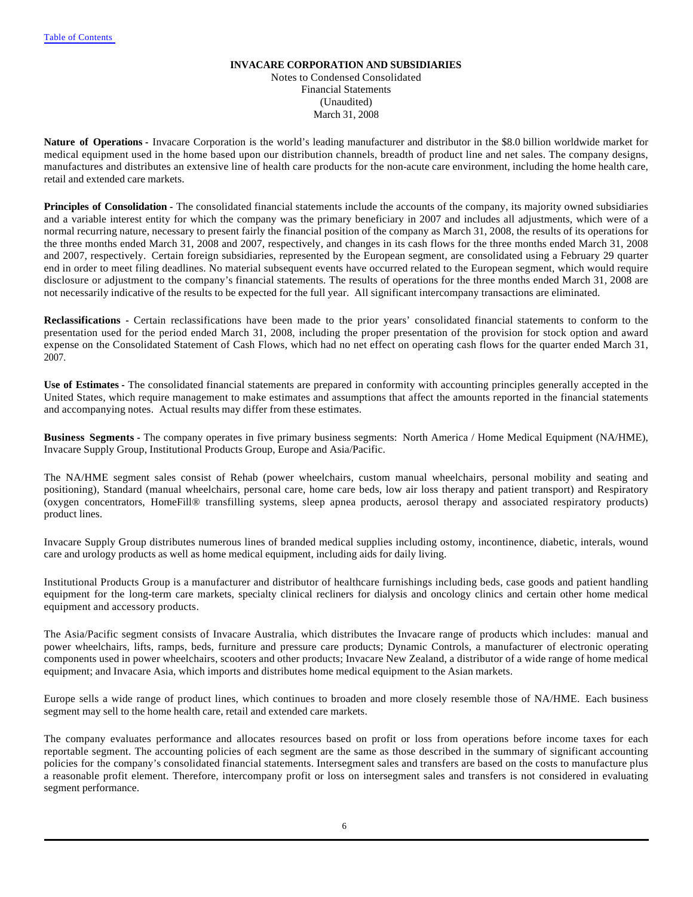**INVACARE CORPORATION AND SUBSIDIARIES** Notes to Condensed Consolidated Financial Statements (Unaudited) March 31, 2008

**Nature of Operations -** Invacare Corporation is the world's leading manufacturer and distributor in the \$8.0 billion worldwide market for medical equipment used in the home based upon our distribution channels, breadth of product line and net sales. The company designs, manufactures and distributes an extensive line of health care products for the non-acute care environment, including the home health care, retail and extended care markets.

**Principles of Consolidation -** The consolidated financial statements include the accounts of the company, its majority owned subsidiaries and a variable interest entity for which the company was the primary beneficiary in 2007 and includes all adjustments, which were of a normal recurring nature, necessary to present fairly the financial position of the company as March 31, 2008, the results of its operations for the three months ended March 31, 2008 and 2007, respectively, and changes in its cash flows for the three months ended March 31, 2008 and 2007, respectively. Certain foreign subsidiaries, represented by the European segment, are consolidated using a February 29 quarter end in order to meet filing deadlines. No material subsequent events have occurred related to the European segment, which would require disclosure or adjustment to the company's financial statements. The results of operations for the three months ended March 31, 2008 are not necessarily indicative of the results to be expected for the full year. All significant intercompany transactions are eliminated.

**Reclassifications -** Certain reclassifications have been made to the prior years' consolidated financial statements to conform to the presentation used for the period ended March 31, 2008, including the proper presentation of the provision for stock option and award expense on the Consolidated Statement of Cash Flows, which had no net effect on operating cash flows for the quarter ended March 31, 2007.

**Use of Estimates -** The consolidated financial statements are prepared in conformity with accounting principles generally accepted in the United States, which require management to make estimates and assumptions that affect the amounts reported in the financial statements and accompanying notes. Actual results may differ from these estimates.

**Business Segments -** The company operates in five primary business segments: North America / Home Medical Equipment (NA/HME), Invacare Supply Group, Institutional Products Group, Europe and Asia/Pacific.

The NA/HME segment sales consist of Rehab (power wheelchairs, custom manual wheelchairs, personal mobility and seating and positioning), Standard (manual wheelchairs, personal care, home care beds, low air loss therapy and patient transport) and Respiratory (oxygen concentrators, HomeFill*®* transfilling systems, sleep apnea products, aerosol therapy and associated respiratory products) product lines.

Invacare Supply Group distributes numerous lines of branded medical supplies including ostomy, incontinence, diabetic, interals, wound care and urology products as well as home medical equipment, including aids for daily living.

Institutional Products Group is a manufacturer and distributor of healthcare furnishings including beds, case goods and patient handling equipment for the long-term care markets, specialty clinical recliners for dialysis and oncology clinics and certain other home medical equipment and accessory products.

The Asia/Pacific segment consists of Invacare Australia, which distributes the Invacare range of products which includes: manual and power wheelchairs, lifts, ramps, beds, furniture and pressure care products; Dynamic Controls, a manufacturer of electronic operating components used in power wheelchairs, scooters and other products; Invacare New Zealand, a distributor of a wide range of home medical equipment; and Invacare Asia, which imports and distributes home medical equipment to the Asian markets.

Europe sells a wide range of product lines, which continues to broaden and more closely resemble those of NA/HME. Each business segment may sell to the home health care, retail and extended care markets.

The company evaluates performance and allocates resources based on profit or loss from operations before income taxes for each reportable segment. The accounting policies of each segment are the same as those described in the summary of significant accounting policies for the company's consolidated financial statements. Intersegment sales and transfers are based on the costs to manufacture plus a reasonable profit element. Therefore, intercompany profit or loss on intersegment sales and transfers is not considered in evaluating segment performance.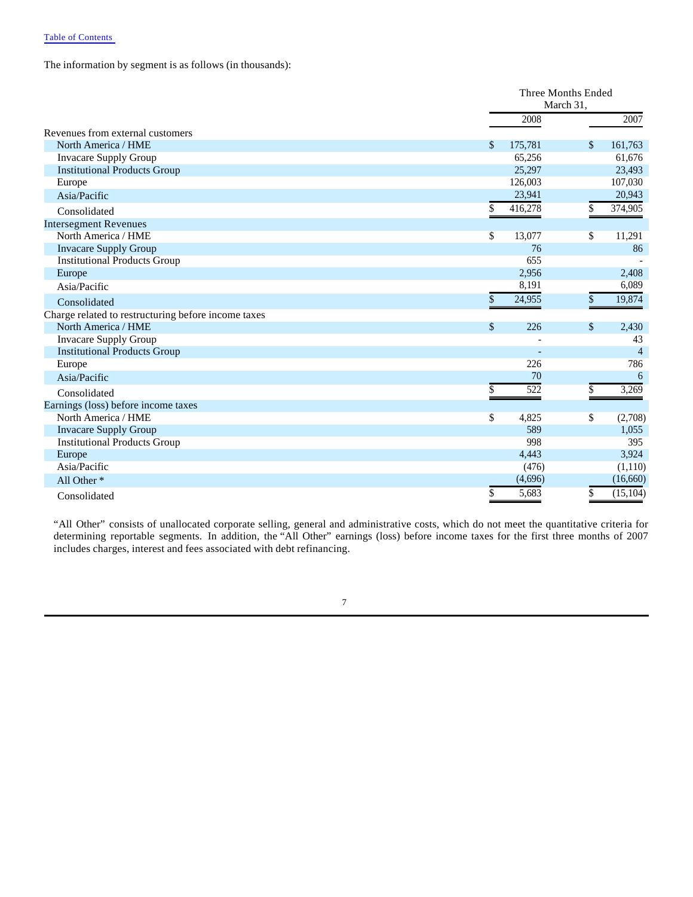# The information by segment is as follows (in thousands):

|                                                     |             | <b>Three Months Ended</b><br>March 31, |              |                |  |
|-----------------------------------------------------|-------------|----------------------------------------|--------------|----------------|--|
|                                                     |             | 2008                                   |              | 2007           |  |
| Revenues from external customers                    |             |                                        |              |                |  |
| North America / HME                                 | \$          | 175,781                                | \$           | 161,763        |  |
| <b>Invacare Supply Group</b>                        |             | 65,256                                 |              | 61,676         |  |
| <b>Institutional Products Group</b>                 |             | 25,297                                 |              | 23,493         |  |
| Europe                                              |             | 126,003                                |              | 107,030        |  |
| Asia/Pacific                                        |             | 23,941                                 |              | 20,943         |  |
| Consolidated                                        |             | 416,278                                |              | 374,905        |  |
| <b>Intersegment Revenues</b>                        |             |                                        |              |                |  |
| North America / HME                                 | \$          | 13,077                                 | \$           | 11,291         |  |
| <b>Invacare Supply Group</b>                        |             | 76                                     |              | 86             |  |
| <b>Institutional Products Group</b>                 |             | 655                                    |              |                |  |
| Europe                                              |             | 2,956                                  |              | 2,408          |  |
| Asia/Pacific                                        |             | 8,191                                  |              | 6,089          |  |
| Consolidated                                        | \$          | 24,955                                 | $\mathbb{S}$ | 19,874         |  |
| Charge related to restructuring before income taxes |             |                                        |              |                |  |
| North America / HME                                 | $\sqrt{\ }$ | 226                                    | \$           | 2,430          |  |
| <b>Invacare Supply Group</b>                        |             |                                        |              | 43             |  |
| <b>Institutional Products Group</b>                 |             |                                        |              | $\overline{4}$ |  |
| Europe                                              |             | 226                                    |              | 786            |  |
| Asia/Pacific                                        |             | 70                                     |              | 6              |  |
| Consolidated                                        | \$          | 522                                    | \$           | 3,269          |  |
| Earnings (loss) before income taxes                 |             |                                        |              |                |  |
| North America / HME                                 | \$          | 4,825                                  | \$           | (2,708)        |  |
| <b>Invacare Supply Group</b>                        |             | 589                                    |              | 1,055          |  |
| <b>Institutional Products Group</b>                 |             | 998                                    |              | 395            |  |
| Europe                                              |             | 4,443                                  |              | 3,924          |  |
| Asia/Pacific                                        |             | (476)                                  |              | (1,110)        |  |
| All Other <sup>*</sup>                              |             | (4,696)                                |              | (16,660)       |  |
| Consolidated                                        | \$          | 5,683                                  | \$           | (15, 104)      |  |

"All Other" consists of unallocated corporate selling, general and administrative costs, which do not meet the quantitative criteria for determining reportable segments. In addition, the "All Other" earnings (loss) before income taxes for the first three months of 2007 includes charges, interest and fees associated with debt refinancing.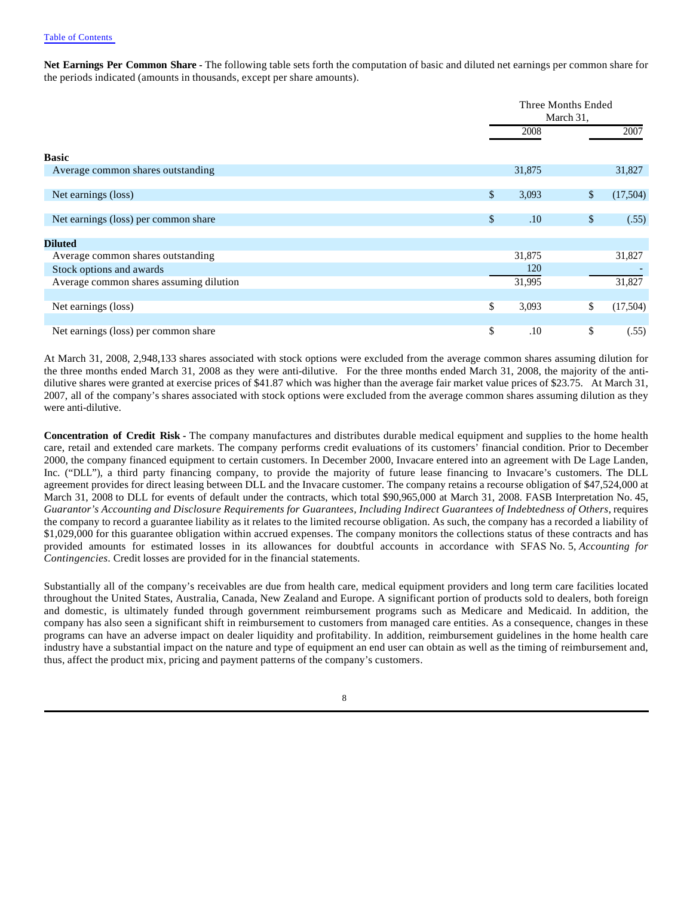**Net Earnings Per Common Share -** The following table sets forth the computation of basic and diluted net earnings per common share for the periods indicated (amounts in thousands, except per share amounts).

|                                         | Three Months Ended<br>March 31, |            |          |  |
|-----------------------------------------|---------------------------------|------------|----------|--|
|                                         | 2008                            |            | 2007     |  |
| <b>Basic</b>                            |                                 |            |          |  |
| Average common shares outstanding       | 31,875                          |            | 31,827   |  |
| Net earnings (loss)                     | \$<br>3,093                     | $\sqrt{2}$ | (17,504) |  |
| Net earnings (loss) per common share    | \$<br>.10                       | $\sqrt{2}$ | (.55)    |  |
| <b>Diluted</b>                          |                                 |            |          |  |
| Average common shares outstanding       | 31,875                          |            | 31,827   |  |
| Stock options and awards                | 120                             |            |          |  |
| Average common shares assuming dilution | 31,995                          |            | 31,827   |  |
|                                         |                                 |            |          |  |
| Net earnings (loss)                     | \$<br>3,093                     | \$         | (17,504) |  |
|                                         |                                 |            |          |  |
| Net earnings (loss) per common share    | \$<br>.10                       | \$         | (.55)    |  |

At March 31, 2008, 2,948,133 shares associated with stock options were excluded from the average common shares assuming dilution for the three months ended March 31, 2008 as they were anti-dilutive. For the three months ended March 31, 2008, the majority of the antidilutive shares were granted at exercise prices of \$41.87 which was higher than the average fair market value prices of \$23.75. At March 31, 2007, all of the company's shares associated with stock options were excluded from the average common shares assuming dilution as they were anti-dilutive.

**Concentration of Credit Risk -** The company manufactures and distributes durable medical equipment and supplies to the home health care, retail and extended care markets. The company performs credit evaluations of its customers' financial condition. Prior to December 2000, the company financed equipment to certain customers. In December 2000, Invacare entered into an agreement with De Lage Landen, Inc. ("DLL"), a third party financing company, to provide the majority of future lease financing to Invacare's customers. The DLL agreement provides for direct leasing between DLL and the Invacare customer. The company retains a recourse obligation of \$47,524,000 at March 31, 2008 to DLL for events of default under the contracts, which total \$90,965,000 at March 31, 2008. FASB Interpretation No. 45, *Guarantor's Accounting and Disclosure Requirements for Guarantees, Including Indirect Guarantees of Indebtedness of Others*, requires the company to record a guarantee liability as it relates to the limited recourse obligation. As such, the company has a recorded a liability of \$1,029,000 for this guarantee obligation within accrued expenses. The company monitors the collections status of these contracts and has provided amounts for estimated losses in its allowances for doubtful accounts in accordance with SFAS No. 5, *Accounting for Contingencies.* Credit losses are provided for in the financial statements.

Substantially all of the company's receivables are due from health care, medical equipment providers and long term care facilities located throughout the United States, Australia, Canada, New Zealand and Europe. A significant portion of products sold to dealers, both foreign and domestic, is ultimately funded through government reimbursement programs such as Medicare and Medicaid. In addition, the company has also seen a significant shift in reimbursement to customers from managed care entities. As a consequence, changes in these programs can have an adverse impact on dealer liquidity and profitability. In addition, reimbursement guidelines in the home health care industry have a substantial impact on the nature and type of equipment an end user can obtain as well as the timing of reimbursement and, thus, affect the product mix, pricing and payment patterns of the company's customers.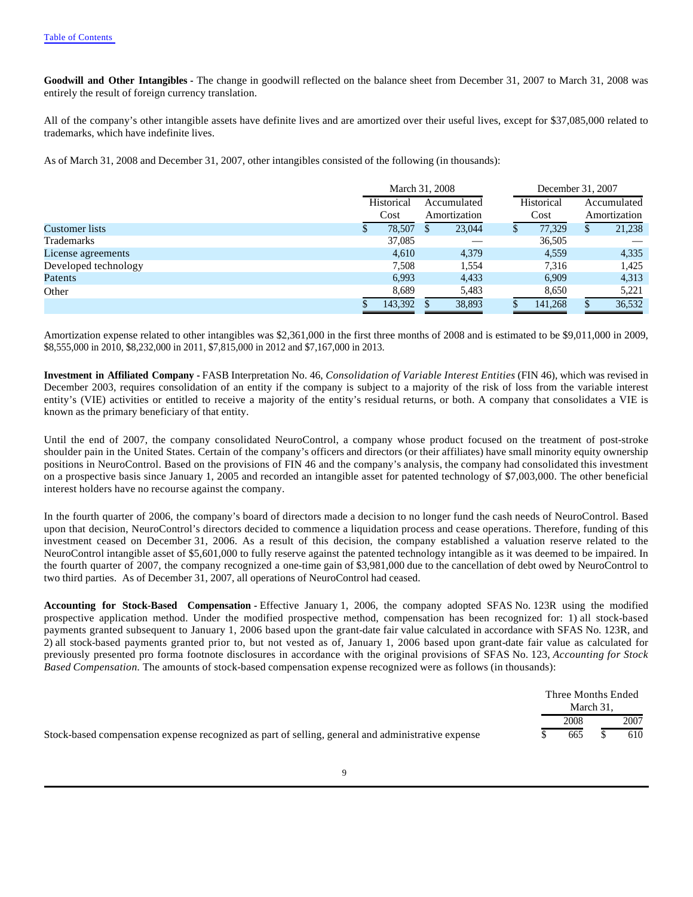**Goodwill and Other Intangibles -** The change in goodwill reflected on the balance sheet from December 31, 2007 to March 31, 2008 was entirely the result of foreign currency translation.

All of the company's other intangible assets have definite lives and are amortized over their useful lives, except for \$37,085,000 related to trademarks, which have indefinite lives.

As of March 31, 2008 and December 31, 2007, other intangibles consisted of the following (in thousands):

|                      | March 31, 2008     |         |                             |        | December 31, 2007 |                    |   |                             |  |
|----------------------|--------------------|---------|-----------------------------|--------|-------------------|--------------------|---|-----------------------------|--|
|                      | Historical<br>Cost |         | Accumulated<br>Amortization |        |                   | Historical<br>Cost |   | Accumulated<br>Amortization |  |
| Customer lists       |                    | 78,507  |                             | 23,044 | \$                | 77,329             | Φ | 21,238                      |  |
| Trademarks           |                    | 37,085  |                             |        |                   | 36,505             |   |                             |  |
| License agreements   |                    | 4.610   |                             | 4,379  |                   | 4,559              |   | 4,335                       |  |
| Developed technology |                    | 7.508   |                             | 1,554  |                   | 7,316              |   | 1,425                       |  |
| Patents              |                    | 6.993   |                             | 4,433  |                   | 6,909              |   | 4,313                       |  |
| Other                |                    | 8.689   |                             | 5,483  |                   | 8,650              |   | 5,221                       |  |
|                      |                    | 143,392 |                             | 38,893 |                   | 141,268            |   | 36,532                      |  |

Amortization expense related to other intangibles was \$2,361,000 in the first three months of 2008 and is estimated to be \$9,011,000 in 2009, \$8,555,000 in 2010, \$8,232,000 in 2011, \$7,815,000 in 2012 and \$7,167,000 in 2013.

**Investment in Affiliated Company -** FASB Interpretation No. 46, *Consolidation of Variable Interest Entities* (FIN 46), which was revised in December 2003, requires consolidation of an entity if the company is subject to a majority of the risk of loss from the variable interest entity's (VIE) activities or entitled to receive a majority of the entity's residual returns, or both. A company that consolidates a VIE is known as the primary beneficiary of that entity.

Until the end of 2007, the company consolidated NeuroControl, a company whose product focused on the treatment of post-stroke shoulder pain in the United States. Certain of the company's officers and directors (or their affiliates) have small minority equity ownership positions in NeuroControl. Based on the provisions of FIN 46 and the company's analysis, the company had consolidated this investment on a prospective basis since January 1, 2005 and recorded an intangible asset for patented technology of \$7,003,000. The other beneficial interest holders have no recourse against the company.

In the fourth quarter of 2006, the company's board of directors made a decision to no longer fund the cash needs of NeuroControl. Based upon that decision, NeuroControl's directors decided to commence a liquidation process and cease operations. Therefore, funding of this investment ceased on December 31, 2006. As a result of this decision, the company established a valuation reserve related to the NeuroControl intangible asset of \$5,601,000 to fully reserve against the patented technology intangible as it was deemed to be impaired. In the fourth quarter of 2007, the company recognized a one-time gain of \$3,981,000 due to the cancellation of debt owed by NeuroControl to two third parties. As of December 31, 2007, all operations of NeuroControl had ceased.

**Accounting for Stock-Based Compensation -** Effective January 1, 2006, the company adopted SFAS No. 123R using the modified prospective application method. Under the modified prospective method, compensation has been recognized for: 1) all stock-based payments granted subsequent to January 1, 2006 based upon the grant-date fair value calculated in accordance with SFAS No. 123R, and 2) all stock-based payments granted prior to, but not vested as of, January 1, 2006 based upon grant-date fair value as calculated for previously presented pro forma footnote disclosures in accordance with the original provisions of SFAS No. 123, *Accounting for Stock Based Compensation.* The amounts of stock-based compensation expense recognized were as follows (in thousands):

|                                                                                                    | Three Months Ended<br>March 31. |      |
|----------------------------------------------------------------------------------------------------|---------------------------------|------|
|                                                                                                    | 2008                            | 2007 |
| Stock-based compensation expense recognized as part of selling, general and administrative expense | 665                             | 610  |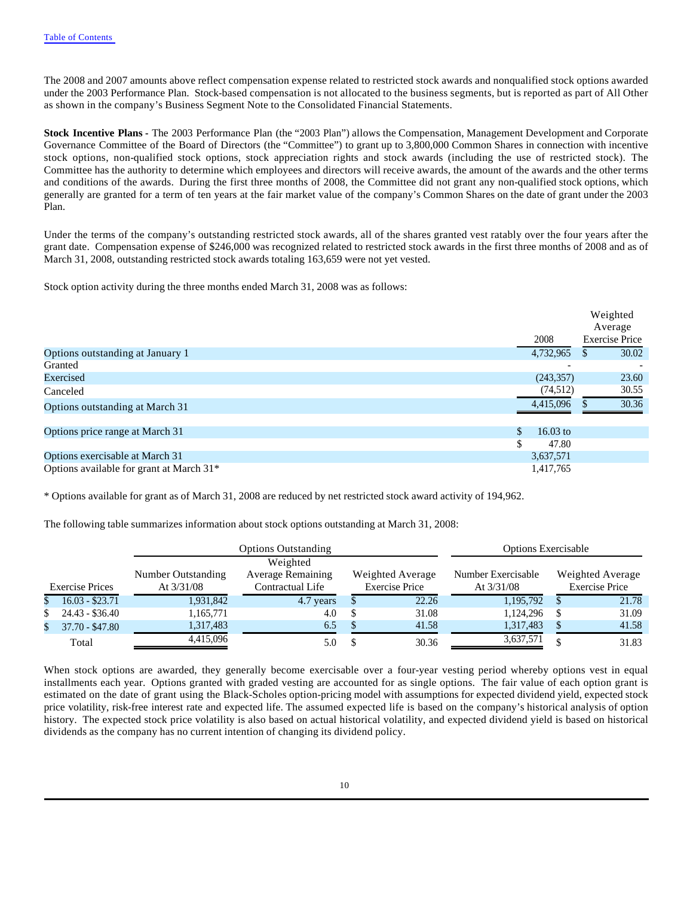The 2008 and 2007 amounts above reflect compensation expense related to restricted stock awards and nonqualified stock options awarded under the 2003 Performance Plan. Stock-based compensation is not allocated to the business segments, but is reported as part of All Other as shown in the company's Business Segment Note to the Consolidated Financial Statements.

**Stock Incentive Plans -** The 2003 Performance Plan (the "2003 Plan") allows the Compensation, Management Development and Corporate Governance Committee of the Board of Directors (the "Committee") to grant up to 3,800,000 Common Shares in connection with incentive stock options, non-qualified stock options, stock appreciation rights and stock awards (including the use of restricted stock). The Committee has the authority to determine which employees and directors will receive awards, the amount of the awards and the other terms and conditions of the awards. During the first three months of 2008, the Committee did not grant any non-qualified stock options, which generally are granted for a term of ten years at the fair market value of the company's Common Shares on the date of grant under the 2003 Plan.

Under the terms of the company's outstanding restricted stock awards, all of the shares granted vest ratably over the four years after the grant date. Compensation expense of \$246,000 was recognized related to restricted stock awards in the first three months of 2008 and as of March 31, 2008, outstanding restricted stock awards totaling 163,659 were not yet vested.

Stock option activity during the three months ended March 31, 2008 was as follows:

|                                          |             | Weighted              |       |
|------------------------------------------|-------------|-----------------------|-------|
|                                          |             | Average               |       |
|                                          | 2008        | <b>Exercise Price</b> |       |
| Options outstanding at January 1         | 4,732,965   | \$.                   | 30.02 |
| Granted                                  |             |                       |       |
| Exercised                                | (243, 357)  |                       | 23.60 |
| Canceled                                 | (74, 512)   |                       | 30.55 |
| Options outstanding at March 31          | 4,415,096   |                       | 30.36 |
|                                          |             |                       |       |
| Options price range at March 31          | $16.03$ to  |                       |       |
|                                          | \$<br>47.80 |                       |       |
| Options exercisable at March 31          | 3,637,571   |                       |       |
| Options available for grant at March 31* | 1,417,765   |                       |       |

\* Options available for grant as of March 31, 2008 are reduced by net restricted stock award activity of 194,962.

The following table summarizes information about stock options outstanding at March 31, 2008:

|                        |                  |                    | <b>Options Outstanding</b> | <b>Options Exercisable</b> |                       |              |                       |       |  |
|------------------------|------------------|--------------------|----------------------------|----------------------------|-----------------------|--------------|-----------------------|-------|--|
|                        |                  |                    | Weighted                   |                            |                       |              |                       |       |  |
|                        |                  | Number Outstanding | <b>Average Remaining</b>   | Weighted Average           | Number Exercisable    |              | Weighted Average      |       |  |
| <b>Exercise Prices</b> |                  | At 3/31/08         | Contractual Life           |                            | <b>Exercise Price</b> | At $3/31/08$ | <b>Exercise Price</b> |       |  |
| \$                     | $16.03 - $23.71$ | 1,931,842          | 4.7 years                  |                            | 22.26                 | 1,195,792    |                       | 21.78 |  |
| \$                     | $24.43 - $36.40$ | 1,165,771          | 4.0                        | S                          | 31.08                 | 1,124,296    |                       | 31.09 |  |
| \$                     | $37.70 - $47.80$ | 1,317,483          | 6.5                        | -S                         | 41.58                 | 1,317,483    |                       | 41.58 |  |
|                        | Total            | 4,415,096          | 5.0                        |                            | 30.36                 | 3,637,571    |                       | 31.83 |  |

When stock options are awarded, they generally become exercisable over a four-year vesting period whereby options vest in equal installments each year. Options granted with graded vesting are accounted for as single options. The fair value of each option grant is estimated on the date of grant using the Black-Scholes option-pricing model with assumptions for expected dividend yield, expected stock price volatility, risk-free interest rate and expected life. The assumed expected life is based on the company's historical analysis of option history. The expected stock price volatility is also based on actual historical volatility, and expected dividend yield is based on historical dividends as the company has no current intention of changing its dividend policy.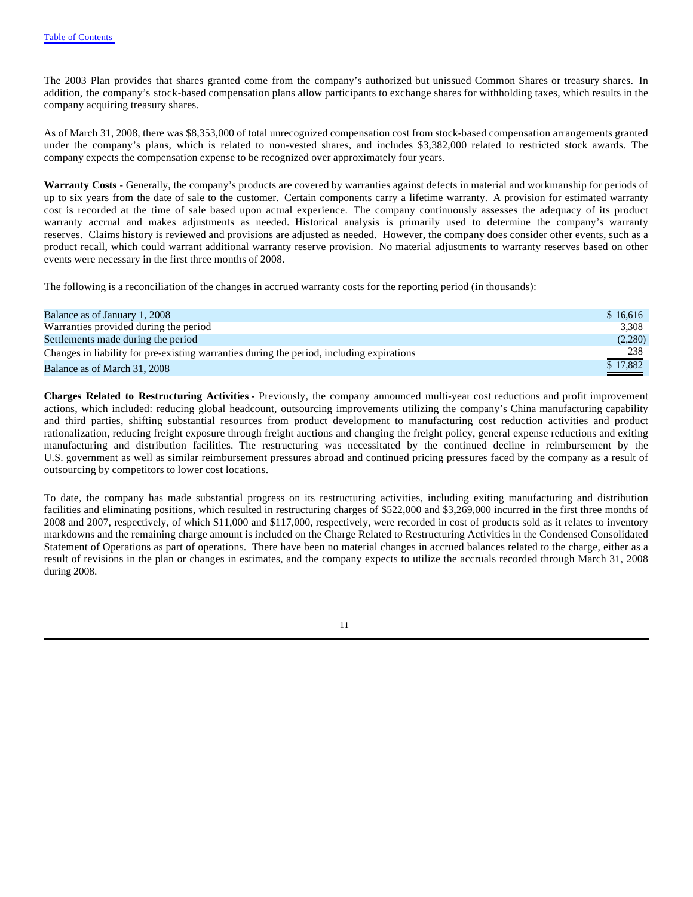The 2003 Plan provides that shares granted come from the company's authorized but unissued Common Shares or treasury shares. In addition, the company's stock-based compensation plans allow participants to exchange shares for withholding taxes, which results in the company acquiring treasury shares.

As of March 31, 2008, there was \$8,353,000 of total unrecognized compensation cost from stock-based compensation arrangements granted under the company's plans, which is related to non-vested shares, and includes \$3,382,000 related to restricted stock awards. The company expects the compensation expense to be recognized over approximately four years.

**Warranty Costs** - Generally, the company's products are covered by warranties against defects in material and workmanship for periods of up to six years from the date of sale to the customer. Certain components carry a lifetime warranty. A provision for estimated warranty cost is recorded at the time of sale based upon actual experience. The company continuously assesses the adequacy of its product warranty accrual and makes adjustments as needed. Historical analysis is primarily used to determine the company's warranty reserves. Claims history is reviewed and provisions are adjusted as needed. However, the company does consider other events, such as a product recall, which could warrant additional warranty reserve provision. No material adjustments to warranty reserves based on other events were necessary in the first three months of 2008.

The following is a reconciliation of the changes in accrued warranty costs for the reporting period (in thousands):

| Balance as of January 1, 2008                                                             | \$16,616                       |
|-------------------------------------------------------------------------------------------|--------------------------------|
| Warranties provided during the period                                                     | 3.308                          |
| Settlements made during the period                                                        | (2,280)                        |
| Changes in liability for pre-existing warranties during the period, including expirations | 238                            |
| Balance as of March 31, 2008                                                              | \$17,882<br><u>records and</u> |

**Charges Related to Restructuring Activities -** Previously, the company announced multi-year cost reductions and profit improvement actions, which included: reducing global headcount, outsourcing improvements utilizing the company's China manufacturing capability and third parties, shifting substantial resources from product development to manufacturing cost reduction activities and product rationalization, reducing freight exposure through freight auctions and changing the freight policy, general expense reductions and exiting manufacturing and distribution facilities. The restructuring was necessitated by the continued decline in reimbursement by the U.S. government as well as similar reimbursement pressures abroad and continued pricing pressures faced by the company as a result of outsourcing by competitors to lower cost locations.

To date, the company has made substantial progress on its restructuring activities, including exiting manufacturing and distribution facilities and eliminating positions, which resulted in restructuring charges of \$522,000 and \$3,269,000 incurred in the first three months of 2008 and 2007, respectively, of which \$11,000 and \$117,000, respectively, were recorded in cost of products sold as it relates to inventory markdowns and the remaining charge amount is included on the Charge Related to Restructuring Activities in the Condensed Consolidated Statement of Operations as part of operations. There have been no material changes in accrued balances related to the charge, either as a result of revisions in the plan or changes in estimates, and the company expects to utilize the accruals recorded through March 31, 2008 during 2008.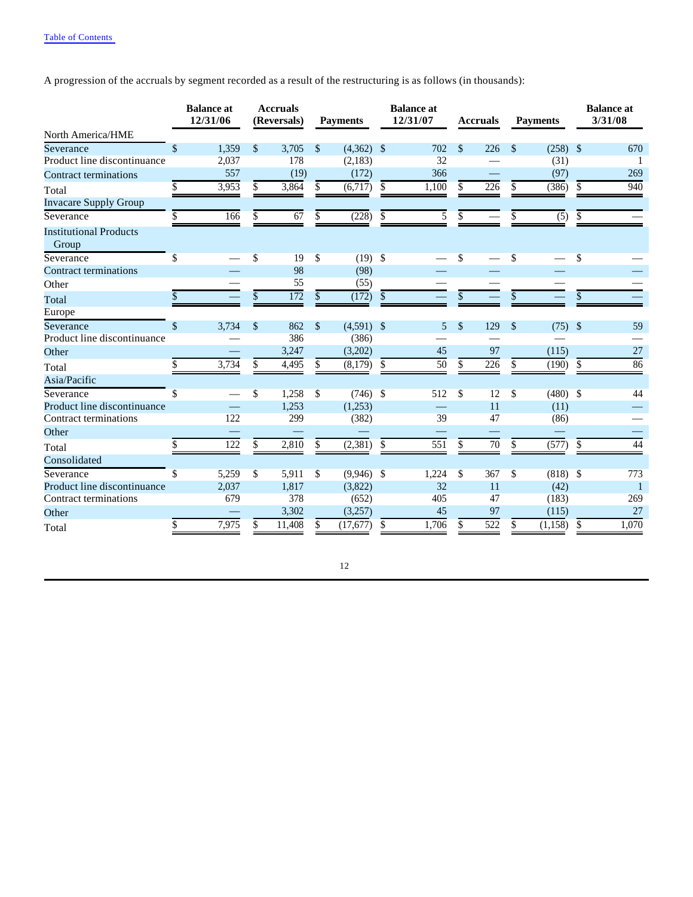# Table of Contents

A progression of the accruals by segment recorded as a result of the restructuring is as follows (in thousands):

|                                        | <b>Balance</b> at<br>12/31/06 |               | <b>Accruals</b><br>(Reversals) |               | <b>Payments</b> |              | <b>Balance</b> at<br>12/31/07 |               | <b>Accruals</b>  |               | <b>Payments</b> |              | <b>Balance</b> at<br>3/31/08 |
|----------------------------------------|-------------------------------|---------------|--------------------------------|---------------|-----------------|--------------|-------------------------------|---------------|------------------|---------------|-----------------|--------------|------------------------------|
| North America/HME                      |                               |               |                                |               |                 |              |                               |               |                  |               |                 |              |                              |
| Severance                              | \$<br>1,359                   | $\mathbb{S}$  | 3,705                          | $\mathcal{S}$ | $(4,362)$ \$    |              | 702                           | $\mathcal{S}$ | 226              | \$            | $(258)$ \$      |              | 670                          |
| Product line discontinuance            | 2,037                         |               | 178                            |               | (2,183)         |              | 32                            |               |                  |               | (31)            |              | -1                           |
| <b>Contract terminations</b>           | 557                           |               | (19)                           |               | (172)           |              | 366                           |               |                  |               | (97)            |              | 269                          |
| Total                                  | \$<br>3,953                   | \$            | 3,864                          | \$            | (6,717)         | \$           | 1,100                         | \$.           | 226              | \$            | (386)           | \$           | 940                          |
| <b>Invacare Supply Group</b>           |                               |               |                                |               |                 |              |                               |               |                  |               |                 |              |                              |
| Severance                              | \$<br>166                     | \$            | 67                             | \$            | (228)           | \$           | $\sqrt{5}$                    | S             |                  | S             | (5)             | S            |                              |
| <b>Institutional Products</b><br>Group |                               |               |                                |               |                 |              |                               |               |                  |               |                 |              |                              |
| Severance                              | \$                            | \$            | 19                             | \$            | $(19)$ \$       |              |                               | \$            |                  | \$            |                 | \$           |                              |
| <b>Contract terminations</b>           |                               |               | 98                             |               | (98)            |              |                               |               |                  |               |                 |              |                              |
| Other                                  |                               |               | 55                             |               | (55)            |              |                               |               |                  |               |                 |              |                              |
| Total                                  | \$                            | \$            | $\overline{172}$               | $\mathbb{S}$  | (172)           | $\mathbb{S}$ |                               | \$            |                  | $\mathbb{S}$  |                 | $\mathbb{S}$ |                              |
| Europe                                 |                               |               |                                |               |                 |              |                               |               |                  |               |                 |              |                              |
| Severance                              | \$<br>3,734                   | $\mathcal{S}$ | 862                            | $\mathcal{S}$ | $(4,591)$ \$    |              | 5                             | $\mathcal{S}$ | 129              | $\mathcal{S}$ | $(75)$ \$       |              | 59                           |
| Product line discontinuance            |                               |               | 386                            |               | (386)           |              |                               |               |                  |               |                 |              |                              |
| Other                                  |                               |               | 3,247                          |               | (3,202)         |              | 45                            |               | 97               |               | (115)           |              | 27                           |
| Total                                  | \$<br>3,734                   | S             | 4,495                          | S             | (8,179)         | S            | 50                            | S             | 226              | S             | (190)           | \$.          | 86                           |
| Asia/Pacific                           |                               |               |                                |               |                 |              |                               |               |                  |               |                 |              |                              |
| Severance                              | \$                            | \$            | 1,258                          | \$            | (746)           | \$           | 512                           | \$            | 12               | \$            | $(480)$ \$      |              | 44                           |
| Product line discontinuance            |                               |               | 1,253                          |               | (1,253)         |              |                               |               | 11               |               | (11)            |              |                              |
| Contract terminations                  | 122                           |               | 299                            |               | (382)           |              | 39                            |               | 47               |               | (86)            |              |                              |
| Other                                  | Ц.                            |               | ÷,                             |               |                 |              |                               |               |                  |               |                 |              |                              |
| Total                                  | 122                           | \$            | 2,810                          | \$            | (2,381)         | \$           | 551                           | \$            | $70\,$           | \$.           | (577)           | \$           | 44                           |
| Consolidated                           |                               |               |                                |               |                 |              |                               |               |                  |               |                 |              |                              |
| Severance                              | \$<br>5,259                   | \$            | 5,911                          | \$            | $(9,946)$ \$    |              | 1,224                         | <sup>\$</sup> | 367              | \$            | $(818)$ \$      |              | 773                          |
| Product line discontinuance            | 2,037                         |               | 1,817                          |               | (3,822)         |              | 32                            |               | 11               |               | (42)            |              | $\overline{1}$               |
| Contract terminations                  | 679                           |               | 378                            |               | (652)           |              | 405                           |               | 47               |               | (183)           |              | 269                          |
| Other                                  |                               |               | 3,302                          |               | (3,257)         |              | 45                            |               | 97               |               | (115)           |              | 27                           |
| Total                                  | 7,975                         | \$            | 11,408                         | \$.           | (17,677)        | \$.          | 1,706                         | £.            | $\overline{522}$ | S.            | (1, 158)        | \$           | 1,070                        |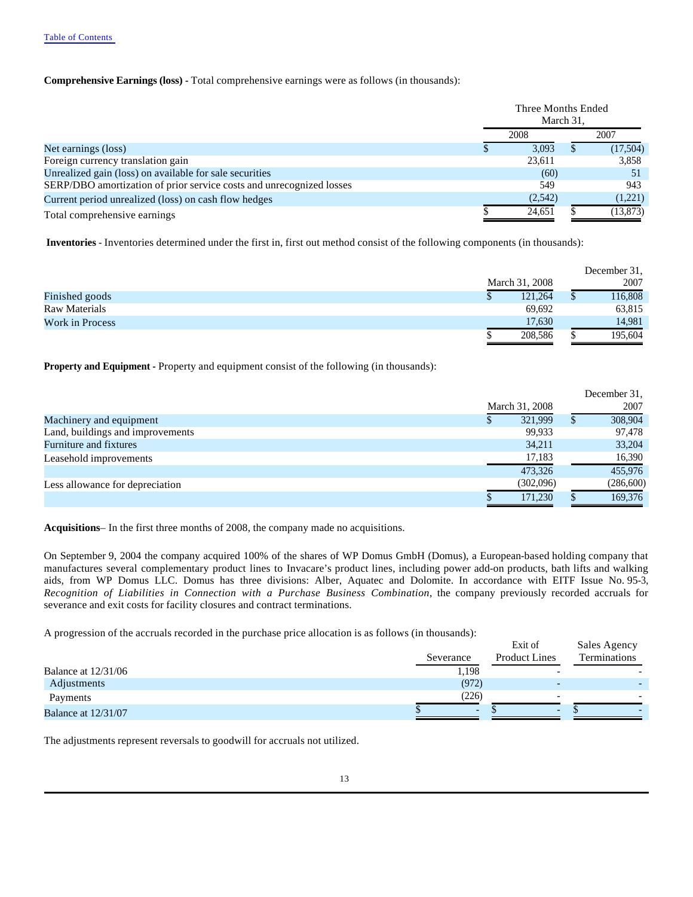### **Comprehensive Earnings (loss) -** Total comprehensive earnings were as follows (in thousands):

|                                                                      | Three Months Ended<br>March 31, |           |
|----------------------------------------------------------------------|---------------------------------|-----------|
|                                                                      | 2008                            | 2007      |
| Net earnings (loss)                                                  | 3.093                           | (17,504)  |
| Foreign currency translation gain                                    | 23.611                          | 3.858     |
| Unrealized gain (loss) on available for sale securities              | (60)                            | 51        |
| SERP/DBO amortization of prior service costs and unrecognized losses | 549                             | 943       |
| Current period unrealized (loss) on cash flow hedges                 | (2,542)                         | (1,221)   |
| Total comprehensive earnings                                         | 24.651                          | (13, 873) |

**Inventories** - Inventories determined under the first in, first out method consist of the following components (in thousands):

|                 |                |   | December 31. |
|-----------------|----------------|---|--------------|
|                 | March 31, 2008 |   | 2007         |
| Finished goods  | 121,264        | Φ | 116,808      |
| Raw Materials   | 69,692         |   | 63,815       |
| Work in Process | 17.630         |   | 14.981       |
|                 | 208,586        |   | 195.604      |

**Property and Equipment -** Property and equipment consist of the following (in thousands):

|                                  |                | December 31. |
|----------------------------------|----------------|--------------|
|                                  | March 31, 2008 | 2007         |
| Machinery and equipment          | 321,999        | 308,904      |
| Land, buildings and improvements | 99,933         | 97,478       |
| <b>Furniture and fixtures</b>    | 34,211         | 33,204       |
| Leasehold improvements           | 17,183         | 16,390       |
|                                  | 473.326        | 455,976      |
| Less allowance for depreciation  | (302,096)      | (286,600)    |
|                                  | 171,230        | 169,376      |

**Acquisitions**– In the first three months of 2008, the company made no acquisitions.

On September 9, 2004 the company acquired 100% of the shares of WP Domus GmbH (Domus), a European-based holding company that manufactures several complementary product lines to Invacare's product lines, including power add-on products, bath lifts and walking aids, from WP Domus LLC. Domus has three divisions: Alber, Aquatec and Dolomite. In accordance with EITF Issue No. 95-3, *Recognition of Liabilities in Connection with a Purchase Business Combination*, the company previously recorded accruals for severance and exit costs for facility closures and contract terminations.

A progression of the accruals recorded in the purchase price allocation is as follows (in thousands):

|                            | Severance | Exit of<br><b>Product Lines</b> | Sales Agency<br>Terminations |
|----------------------------|-----------|---------------------------------|------------------------------|
| Balance at $12/31/06$      | 1,198     |                                 |                              |
| Adjustments                | (972)     |                                 |                              |
| Payments                   | (226)     | -                               | $\overline{\phantom{0}}$     |
| <b>Balance at 12/31/07</b> | -         | -                               |                              |

The adjustments represent reversals to goodwill for accruals not utilized.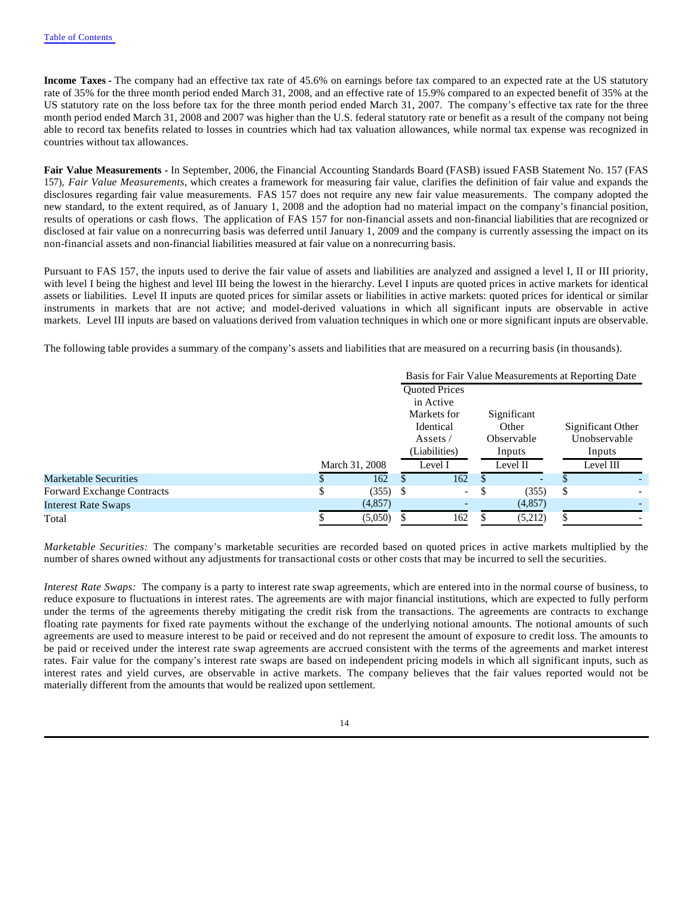**Income Taxes -** The company had an effective tax rate of 45.6% on earnings before tax compared to an expected rate at the US statutory rate of 35% for the three month period ended March 31, 2008, and an effective rate of 15.9% compared to an expected benefit of 35% at the US statutory rate on the loss before tax for the three month period ended March 31, 2007. The company's effective tax rate for the three month period ended March 31, 2008 and 2007 was higher than the U.S. federal statutory rate or benefit as a result of the company not being able to record tax benefits related to losses in countries which had tax valuation allowances, while normal tax expense was recognized in countries without tax allowances.

**Fair Value Measurements -** In September, 2006, the Financial Accounting Standards Board (FASB) issued FASB Statement No. 157 (FAS 157), *Fair Value Measurements*, which creates a framework for measuring fair value, clarifies the definition of fair value and expands the disclosures regarding fair value measurements. FAS 157 does not require any new fair value measurements. The company adopted the new standard, to the extent required, as of January 1, 2008 and the adoption had no material impact on the company's financial position, results of operations or cash flows. The application of FAS 157 for non-financial assets and non-financial liabilities that are recognized or disclosed at fair value on a nonrecurring basis was deferred until January 1, 2009 and the company is currently assessing the impact on its non-financial assets and non-financial liabilities measured at fair value on a nonrecurring basis.

Pursuant to FAS 157, the inputs used to derive the fair value of assets and liabilities are analyzed and assigned a level I, II or III priority, with level I being the highest and level III being the lowest in the hierarchy. Level I inputs are quoted prices in active markets for identical assets or liabilities. Level II inputs are quoted prices for similar assets or liabilities in active markets: quoted prices for identical or similar instruments in markets that are not active; and model-derived valuations in which all significant inputs are observable in active markets. Level III inputs are based on valuations derived from valuation techniques in which one or more significant inputs are observable.

The following table provides a summary of the company's assets and liabilities that are measured on a recurring basis (in thousands).

|                                   |                |            |                                                                                           |                          |                                              |   | Basis for Fair Value Measurements at Reporting Date |
|-----------------------------------|----------------|------------|-------------------------------------------------------------------------------------------|--------------------------|----------------------------------------------|---|-----------------------------------------------------|
|                                   |                |            | <b>Ouoted Prices</b><br>in Active<br>Markets for<br>Identical<br>Assets/<br>(Liabilities) |                          | Significant<br>Other<br>Observable<br>Inputs |   | Significant Other<br>Unobservable<br>Inputs         |
|                                   | March 31, 2008 |            | Level I                                                                                   |                          | Level II                                     |   | Level III                                           |
| <b>Marketable Securities</b>      |                | 162        |                                                                                           | 162                      | $\overline{\phantom{0}}$                     |   |                                                     |
| <b>Forward Exchange Contracts</b> | S              | $(355)$ \$ |                                                                                           | $\overline{\phantom{a}}$ | (355)                                        | S |                                                     |
| <b>Interest Rate Swaps</b>        |                | (4,857)    |                                                                                           |                          | (4,857)                                      |   |                                                     |
| Total                             |                | (5,050)    |                                                                                           | 162                      | (5,212)                                      |   |                                                     |

*Marketable Securities:* The company's marketable securities are recorded based on quoted prices in active markets multiplied by the number of shares owned without any adjustments for transactional costs or other costs that may be incurred to sell the securities.

*Interest Rate Swaps:* The company is a party to interest rate swap agreements, which are entered into in the normal course of business, to reduce exposure to fluctuations in interest rates. The agreements are with major financial institutions, which are expected to fully perform under the terms of the agreements thereby mitigating the credit risk from the transactions. The agreements are contracts to exchange floating rate payments for fixed rate payments without the exchange of the underlying notional amounts. The notional amounts of such agreements are used to measure interest to be paid or received and do not represent the amount of exposure to credit loss. The amounts to be paid or received under the interest rate swap agreements are accrued consistent with the terms of the agreements and market interest rates. Fair value for the company's interest rate swaps are based on independent pricing models in which all significant inputs, such as interest rates and yield curves, are observable in active markets. The company believes that the fair values reported would not be materially different from the amounts that would be realized upon settlement.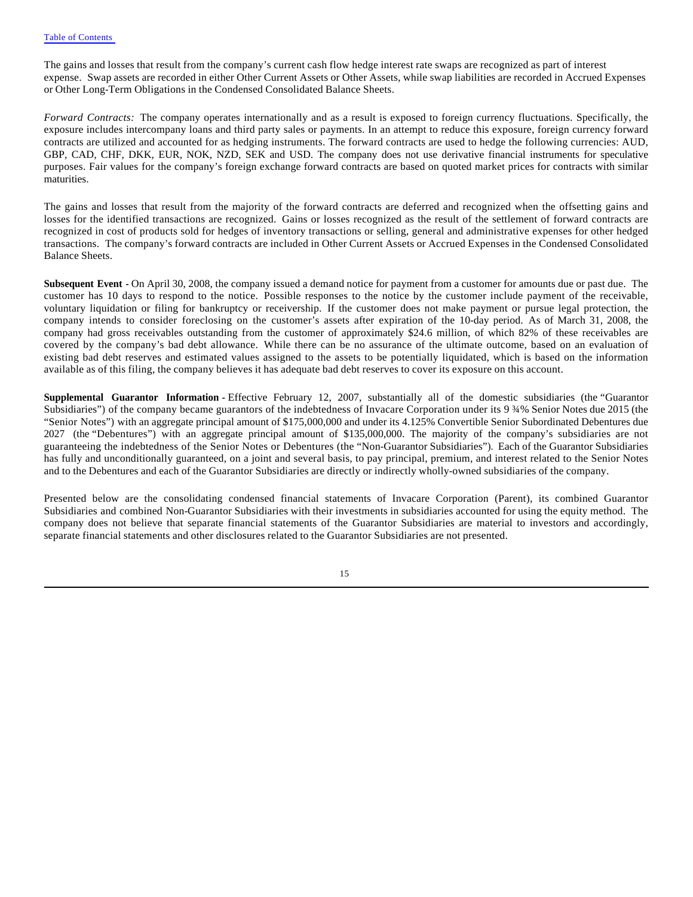The gains and losses that result from the company's current cash flow hedge interest rate swaps are recognized as part of interest expense. Swap assets are recorded in either Other Current Assets or Other Assets, while swap liabilities are recorded in Accrued Expenses or Other Long-Term Obligations in the Condensed Consolidated Balance Sheets.

*Forward Contracts:* The company operates internationally and as a result is exposed to foreign currency fluctuations. Specifically, the exposure includes intercompany loans and third party sales or payments. In an attempt to reduce this exposure, foreign currency forward contracts are utilized and accounted for as hedging instruments. The forward contracts are used to hedge the following currencies: AUD, GBP, CAD, CHF, DKK, EUR, NOK, NZD, SEK and USD. The company does not use derivative financial instruments for speculative purposes. Fair values for the company's foreign exchange forward contracts are based on quoted market prices for contracts with similar maturities.

The gains and losses that result from the majority of the forward contracts are deferred and recognized when the offsetting gains and losses for the identified transactions are recognized. Gains or losses recognized as the result of the settlement of forward contracts are recognized in cost of products sold for hedges of inventory transactions or selling, general and administrative expenses for other hedged transactions. The company's forward contracts are included in Other Current Assets or Accrued Expenses in the Condensed Consolidated Balance Sheets.

**Subsequent Event -** On April 30, 2008, the company issued a demand notice for payment from a customer for amounts due or past due. The customer has 10 days to respond to the notice. Possible responses to the notice by the customer include payment of the receivable, voluntary liquidation or filing for bankruptcy or receivership. If the customer does not make payment or pursue legal protection, the company intends to consider foreclosing on the customer's assets after expiration of the 10-day period. As of March 31, 2008, the company had gross receivables outstanding from the customer of approximately \$24.6 million, of which 82% of these receivables are covered by the company's bad debt allowance. While there can be no assurance of the ultimate outcome, based on an evaluation of existing bad debt reserves and estimated values assigned to the assets to be potentially liquidated, which is based on the information available as of this filing, the company believes it has adequate bad debt reserves to cover its exposure on this account.

**Supplemental Guarantor Information -** Effective February 12, 2007, substantially all of the domestic subsidiaries (the "Guarantor Subsidiaries") of the company became guarantors of the indebtedness of Invacare Corporation under its 9 ¾% Senior Notes due 2015 (the "Senior Notes") with an aggregate principal amount of \$175,000,000 and under its 4.125% Convertible Senior Subordinated Debentures due 2027 (the "Debentures") with an aggregate principal amount of \$135,000,000. The majority of the company's subsidiaries are not guaranteeing the indebtedness of the Senior Notes or Debentures (the "Non-Guarantor Subsidiaries"). Each of the Guarantor Subsidiaries has fully and unconditionally guaranteed, on a joint and several basis, to pay principal, premium, and interest related to the Senior Notes and to the Debentures and each of the Guarantor Subsidiaries are directly or indirectly wholly-owned subsidiaries of the company.

Presented below are the consolidating condensed financial statements of Invacare Corporation (Parent), its combined Guarantor Subsidiaries and combined Non-Guarantor Subsidiaries with their investments in subsidiaries accounted for using the equity method. The company does not believe that separate financial statements of the Guarantor Subsidiaries are material to investors and accordingly, separate financial statements and other disclosures related to the Guarantor Subsidiaries are not presented.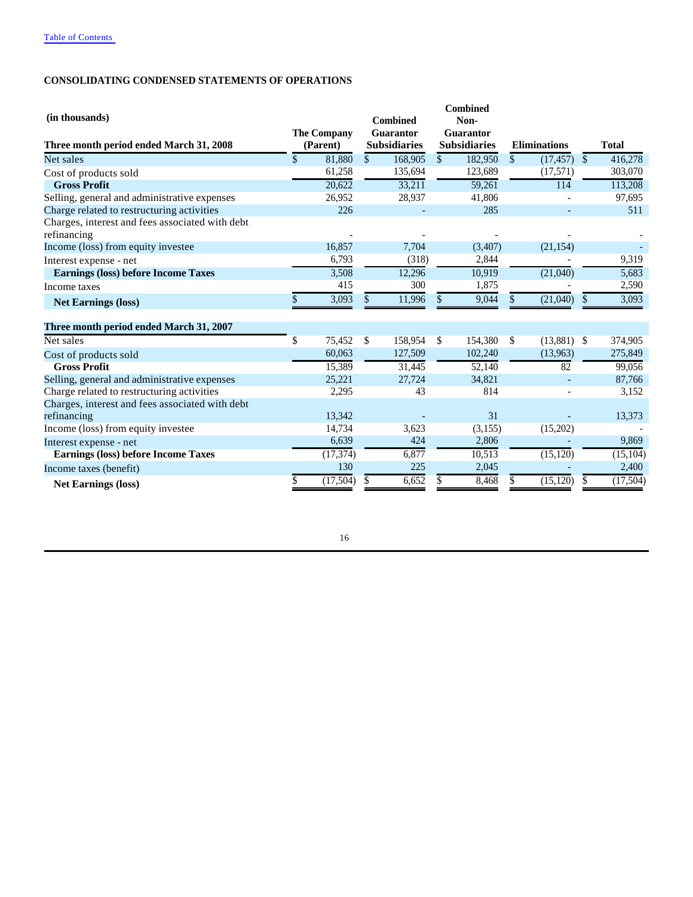# **CONSOLIDATING CONDENSED STATEMENTS OF OPERATIONS**

| (in thousands)                                                 | <b>The Company</b> |              | <b>Combined</b><br><b>Guarantor</b> |               | <b>Combined</b><br>Non-<br>Guarantor |                 |                        |               |                    |
|----------------------------------------------------------------|--------------------|--------------|-------------------------------------|---------------|--------------------------------------|-----------------|------------------------|---------------|--------------------|
| Three month period ended March 31, 2008                        | (Parent)           |              | <b>Subsidiaries</b>                 |               | <b>Subsidiaries</b>                  |                 | <b>Eliminations</b>    |               | <b>Total</b>       |
| Net sales                                                      | \$<br>81,880       | $\mathbb{S}$ | 168,905                             | $\mathcal{S}$ | 182,950                              | $\overline{\$}$ | $\overline{(17, 457)}$ | $\sqrt{\$}$   | 416,278            |
| Cost of products sold                                          | 61,258             |              | 135,694                             |               | 123,689                              |                 | (17,571)               |               | 303,070            |
| <b>Gross Profit</b>                                            | 20,622             |              | 33,211                              |               | 59,261                               |                 | 114                    |               | 113,208            |
| Selling, general and administrative expenses                   | 26,952             |              | 28,937                              |               | 41,806                               |                 |                        |               | 97,695             |
| Charge related to restructuring activities                     | 226                |              |                                     |               | 285                                  |                 |                        |               | 511                |
| Charges, interest and fees associated with debt<br>refinancing |                    |              |                                     |               |                                      |                 |                        |               |                    |
| Income (loss) from equity investee                             | 16.857             |              | 7,704                               |               | (3,407)                              |                 | (21, 154)              |               |                    |
| Interest expense - net                                         | 6,793              |              | (318)                               |               | 2,844                                |                 |                        |               | 9,319              |
| <b>Earnings (loss) before Income Taxes</b>                     | 3,508              |              | 12,296                              |               | 10,919                               |                 | (21,040)               |               | $\overline{5,683}$ |
| Income taxes                                                   | 415                |              | 300                                 |               | 1,875                                |                 |                        |               | 2,590              |
| <b>Net Earnings (loss)</b>                                     | 3,093              | \$           | 11,996                              | \$            | 9,044                                | \$              | (21,040)               | $\mathcal{S}$ | 3,093              |
| Three month period ended March 31, 2007                        |                    |              |                                     |               |                                      |                 |                        |               |                    |
| Net sales                                                      | \$<br>75,452       | \$           | 158,954                             | \$            | 154.380                              | \$              | $(13,881)$ \$          |               | 374,905            |
| Cost of products sold                                          | 60,063             |              | 127,509                             |               | 102,240                              |                 | (13,963)               |               | 275,849            |
| <b>Gross Profit</b>                                            | 15,389             |              | 31,445                              |               | 52,140                               |                 | 82                     |               | 99,056             |
| Selling, general and administrative expenses                   | 25,221             |              | 27,724                              |               | 34,821                               |                 |                        |               | 87,766             |
| Charge related to restructuring activities                     | 2,295              |              | 43                                  |               | 814                                  |                 |                        |               | 3,152              |
| Charges, interest and fees associated with debt                |                    |              |                                     |               |                                      |                 |                        |               |                    |
| refinancing                                                    | 13,342             |              |                                     |               | 31                                   |                 |                        |               | 13,373             |
| Income (loss) from equity investee                             | 14,734             |              | 3,623                               |               | (3,155)                              |                 | (15,202)               |               |                    |
| Interest expense - net                                         | 6,639              |              | 424                                 |               | 2,806                                |                 |                        |               | 9,869              |
| <b>Earnings (loss) before Income Taxes</b>                     | (17, 374)          |              | 6,877                               |               | 10,513                               |                 | (15, 120)              |               | (15,104)           |
| Income taxes (benefit)                                         | 130                |              | 225                                 |               | 2,045                                |                 |                        |               | 2,400              |
| <b>Net Earnings (loss)</b>                                     | (17, 504)          | \$           | 6,652                               | \$            | 8,468                                | \$              | (15, 120)              | \$            | (17, 504)          |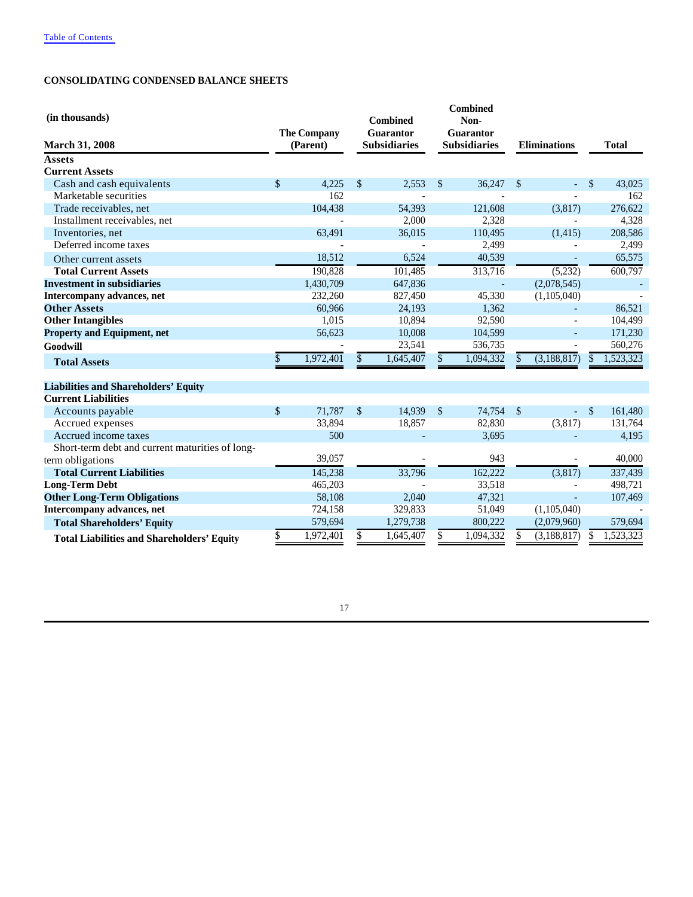# **CONSOLIDATING CONDENSED BALANCE SHEETS**

| (in thousands)                                    |              |                    |                               | <b>Combined</b> |               | <b>Combined</b><br>Non- |               |                     |               |              |
|---------------------------------------------------|--------------|--------------------|-------------------------------|-----------------|---------------|-------------------------|---------------|---------------------|---------------|--------------|
|                                                   |              | <b>The Company</b> | <b>Guarantor</b><br>Guarantor |                 |               |                         |               |                     |               |              |
| <b>March 31, 2008</b>                             |              | (Parent)           | <b>Subsidiaries</b>           |                 |               | <b>Subsidiaries</b>     |               | <b>Eliminations</b> |               | <b>Total</b> |
| <b>Assets</b>                                     |              |                    |                               |                 |               |                         |               |                     |               |              |
| <b>Current Assets</b>                             |              |                    |                               |                 |               |                         |               |                     |               |              |
| Cash and cash equivalents                         | $\mathbb{S}$ | 4.225              | $\mathcal{S}$                 | 2.553           | $\mathcal{S}$ | 36,247                  | $\mathbb{S}$  | $\omega_{\rm{eff}}$ | $\mathcal{S}$ | 43.025       |
| Marketable securities                             |              | 162                |                               |                 |               |                         |               |                     |               | 162          |
| Trade receivables, net                            |              | 104,438            |                               | 54,393          |               | 121,608                 |               | (3,817)             |               | 276,622      |
| Installment receivables, net                      |              |                    |                               | 2,000           |               | 2,328                   |               |                     |               | 4,328        |
| Inventories, net                                  |              | 63,491             |                               | 36,015          |               | 110,495                 |               | (1, 415)            |               | 208,586      |
| Deferred income taxes                             |              |                    |                               |                 |               | 2,499                   |               |                     |               | 2,499        |
| Other current assets                              |              | 18,512             |                               | 6,524           |               | 40,539                  |               |                     |               | 65,575       |
| <b>Total Current Assets</b>                       |              | 190,828            |                               | 101,485         |               | 313,716                 |               | (5,232)             |               | 600,797      |
| <b>Investment in subsidiaries</b>                 |              | 1,430,709          |                               | 647,836         |               | $\blacksquare$          |               | (2,078,545)         |               |              |
| Intercompany advances, net                        |              | 232,260            |                               | 827,450         |               | 45,330                  |               | (1,105,040)         |               |              |
| <b>Other Assets</b>                               |              | 60,966             |                               | 24,193          |               | 1,362                   |               |                     |               | 86,521       |
| <b>Other Intangibles</b>                          |              | 1,015              |                               | 10,894          |               | 92,590                  |               |                     |               | 104,499      |
| <b>Property and Equipment, net</b>                |              | 56,623             |                               | 10,008          |               | 104,599                 |               | $\equiv$            |               | 171,230      |
| Goodwill                                          |              |                    |                               | 23,541          |               | 536,735                 |               |                     |               | 560,276      |
| <b>Total Assets</b>                               | \$           | 1,972,401          | \$                            | 1,645,407       | \$            | 1,094,332               | \$            | (3,188,817)         | \$            | 1,523,323    |
| <b>Liabilities and Shareholders' Equity</b>       |              |                    |                               |                 |               |                         |               |                     |               |              |
| <b>Current Liabilities</b>                        |              |                    |                               |                 |               |                         |               |                     |               |              |
| Accounts payable                                  | $\mathbb{S}$ | 71,787             | $\mathcal{S}$                 | 14,939          | $\mathcal{S}$ | 74,754                  | $\mathcal{S}$ | a l                 | $\mathcal{S}$ | 161,480      |
| Accrued expenses                                  |              | 33,894             |                               | 18,857          |               | 82,830                  |               | (3,817)             |               | 131,764      |
| Accrued income taxes                              |              | 500                |                               |                 |               | 3,695                   |               |                     |               | 4,195        |
| Short-term debt and current maturities of long-   |              |                    |                               |                 |               |                         |               |                     |               |              |
| term obligations                                  |              | 39,057             |                               |                 |               | 943                     |               |                     |               | 40,000       |
| <b>Total Current Liabilities</b>                  |              | 145,238            |                               | 33,796          |               | 162,222                 |               | (3,817)             |               | 337,439      |
| <b>Long-Term Debt</b>                             |              | 465,203            |                               |                 |               | 33,518                  |               |                     |               | 498,721      |
| <b>Other Long-Term Obligations</b>                |              | 58,108             |                               | 2,040           |               | 47,321                  |               |                     |               | 107,469      |
| Intercompany advances, net                        |              | 724,158            |                               | 329,833         |               | 51,049                  |               | (1,105,040)         |               |              |
| <b>Total Shareholders' Equity</b>                 |              | 579,694            |                               | 1,279,738       |               | 800,222                 |               | (2,079,960)         |               | 579,694      |
| <b>Total Liabilities and Shareholders' Equity</b> | \$           | 1,972,401          | \$                            | 1,645,407       | \$            | 1,094,332               | \$            | (3, 188, 817)       | S             | 1,523,323    |

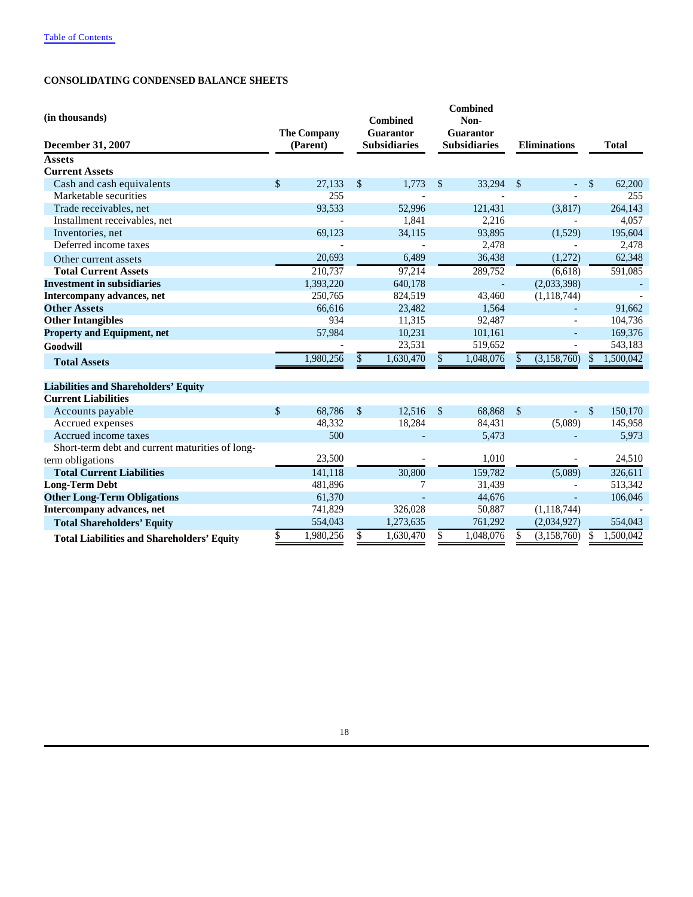# **CONSOLIDATING CONDENSED BALANCE SHEETS**

| (in thousands)                                    |                    |                  | <b>Combined</b>     |               | <b>Combined</b><br>Non- |            |                     |               |              |
|---------------------------------------------------|--------------------|------------------|---------------------|---------------|-------------------------|------------|---------------------|---------------|--------------|
|                                                   | <b>The Company</b> | <b>Guarantor</b> |                     |               | Guarantor               |            |                     |               |              |
| <b>December 31, 2007</b>                          | (Parent)           |                  | <b>Subsidiaries</b> |               | <b>Subsidiaries</b>     |            | <b>Eliminations</b> |               | <b>Total</b> |
| <b>Assets</b>                                     |                    |                  |                     |               |                         |            |                     |               |              |
| <b>Current Assets</b>                             |                    |                  |                     |               |                         |            |                     |               |              |
| Cash and cash equivalents                         | \$<br>27,133       | $\mathcal{S}$    | 1,773               | $\mathcal{S}$ | 33,294                  | \$         | $\sim$              | \$            | 62,200       |
| Marketable securities                             | 255                |                  |                     |               |                         |            |                     |               | 255          |
| Trade receivables, net                            | 93,533             |                  | 52,996              |               | 121,431                 |            | (3,817)             |               | 264,143      |
| Installment receivables, net                      |                    |                  | 1,841               |               | 2,216                   |            |                     |               | 4,057        |
| Inventories, net                                  | 69,123             |                  | 34,115              |               | 93,895                  |            | (1,529)             |               | 195,604      |
| Deferred income taxes                             |                    |                  |                     |               | 2,478                   |            |                     |               | 2,478        |
| Other current assets                              | 20,693             |                  | 6.489               |               | 36,438                  |            | (1,272)             |               | 62,348       |
| <b>Total Current Assets</b>                       | 210,737            |                  | 97,214              |               | 289,752                 |            | (6,618)             |               | 591,085      |
| <b>Investment in subsidiaries</b>                 | 1,393,220          |                  | 640,178             |               | $\blacksquare$          |            | (2,033,398)         |               |              |
| Intercompany advances, net                        | 250,765            |                  | 824,519             |               | 43,460                  |            | (1, 118, 744)       |               |              |
| <b>Other Assets</b>                               | 66,616             |                  | 23,482              |               | 1,564                   |            |                     |               | 91,662       |
| <b>Other Intangibles</b>                          | 934                |                  | 11,315              |               | 92,487                  |            |                     |               | 104,736      |
| <b>Property and Equipment, net</b>                | 57,984             |                  | 10,231              |               | 101,161                 |            | $\equiv$            |               | 169,376      |
| Goodwill                                          |                    |                  | 23,531              |               | 519,652                 |            |                     |               | 543,183      |
| <b>Total Assets</b>                               | 1,980,256          | S                | 1,630,470           | \$            | 1,048,076               | \$.        | (3,158,760)         | \$.           | 1,500,042    |
| <b>Liabilities and Shareholders' Equity</b>       |                    |                  |                     |               |                         |            |                     |               |              |
| <b>Current Liabilities</b>                        |                    |                  |                     |               |                         |            |                     |               |              |
| Accounts payable                                  | \$<br>68,786       | $\mathcal{S}$    | 12,516              | $\mathcal{S}$ | 68,868                  | $\sqrt{3}$ | $\omega_{\rm{eff}}$ | $\mathcal{S}$ | 150,170      |
| Accrued expenses                                  | 48,332             |                  | 18,284              |               | 84,431                  |            | (5,089)             |               | 145,958      |
| Accrued income taxes                              | 500                |                  |                     |               | 5,473                   |            |                     |               | 5,973        |
| Short-term debt and current maturities of long-   |                    |                  |                     |               |                         |            |                     |               |              |
| term obligations                                  | 23,500             |                  |                     |               | 1,010                   |            |                     |               | 24,510       |
| <b>Total Current Liabilities</b>                  | 141, 118           |                  | 30,800              |               | 159,782                 |            | (5,089)             |               | 326,611      |
| <b>Long-Term Debt</b>                             | 481,896            |                  | 7                   |               | 31,439                  |            |                     |               | 513,342      |
| <b>Other Long-Term Obligations</b>                | 61,370             |                  |                     |               | 44,676                  |            | $\blacksquare$      |               | 106,046      |
| Intercompany advances, net                        | 741,829            |                  | 326,028             |               | 50,887                  |            | (1, 118, 744)       |               |              |
| <b>Total Shareholders' Equity</b>                 | 554,043            |                  | 1,273,635           |               | 761,292                 |            | (2,034,927)         |               | 554,043      |
| <b>Total Liabilities and Shareholders' Equity</b> | \$<br>1,980,256    | \$               | 1,630,470           | \$            | 1,048,076               | S          | (3,158,760)         |               | 1,500,042    |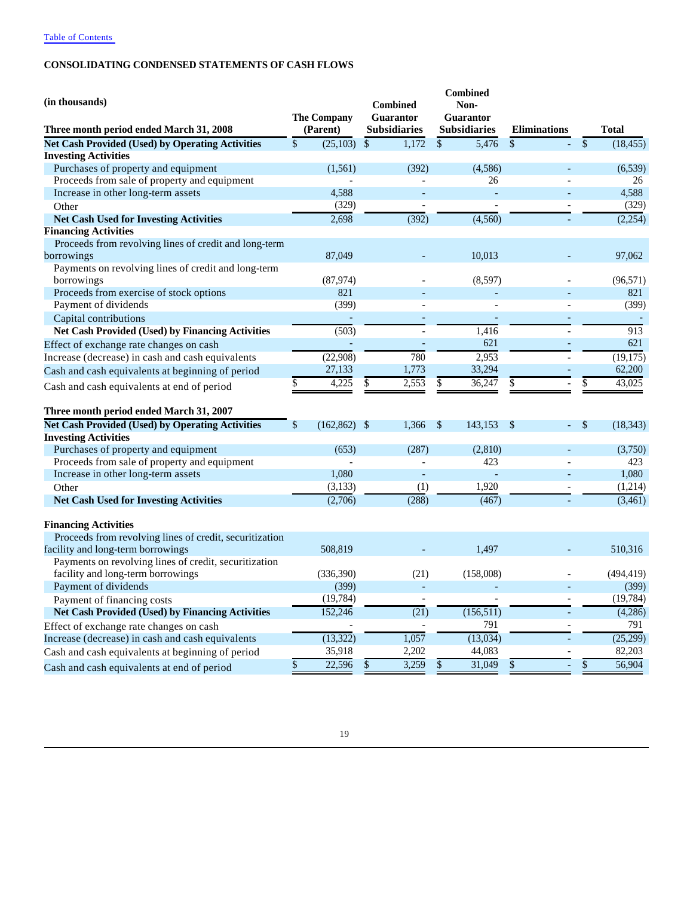# **CONSOLIDATING CONDENSED STATEMENTS OF CASH FLOWS**

| <b>Subsidiaries</b><br>(Parent)<br><b>Subsidiaries</b><br><b>Eliminations</b><br><b>Total</b><br>Three month period ended March 31, 2008<br>$\overline{\$}$<br>$\mathbb{S}$<br>1.172<br>$\mathcal{S}$<br>5.476<br>$\mathbb{S}$<br>(18, 455)<br>(25, 103)<br>$\mathbb{S}$<br>Purchases of property and equipment<br>(4,586)<br>(1, 561)<br>(392)<br>(6, 539)<br>Proceeds from sale of property and equipment<br>26<br>26<br>Increase in other long-term assets<br>4,588<br>4,588<br>(329)<br>(329)<br>Other<br>(392)<br>(4, 560)<br>2.698<br>(2,254)<br><b>Net Cash Used for Investing Activities</b><br><b>Financing Activities</b><br>Proceeds from revolving lines of credit and long-term<br>87,049<br>10,013<br>97,062<br>Payments on revolving lines of credit and long-term<br>borrowings<br>(87, 974)<br>(8,597)<br>(96, 571)<br>Proceeds from exercise of stock options<br>821<br>821<br>(399)<br>Payment of dividends<br>(399)<br>Capital contributions<br>913<br>Net Cash Provided (Used) by Financing Activities<br>(503)<br>1,416<br>621<br>621<br>Effect of exchange rate changes on cash<br>2,953<br>Increase (decrease) in cash and cash equivalents<br>(22,908)<br>780<br>(19, 175)<br>33,294<br>27,133<br>1,773<br>62,200<br>Cash and cash equivalents at beginning of period<br>4,225<br>2,553<br>$\overline{\$}$<br>$\overline{\$}$<br>$\overline{\$}$<br>36,247<br>$\overline{\$}$<br>$\overline{\$}$<br>43,025<br>Cash and cash equivalents at end of period<br>Three month period ended March 31, 2007<br><b>Net Cash Provided (Used) by Operating Activities</b><br>\$<br>$\mathcal{S}$<br>$(162,862)$ \$<br>1.366<br>143,153<br>$\mathcal{S}$<br>$\mathbb{S}$<br>(18, 343)<br>L.<br><b>Investing Activities</b><br>Purchases of property and equipment<br>(287)<br>(2,810)<br>(3,750)<br>(653)<br>Proceeds from sale of property and equipment<br>423<br>423<br>1,080<br>1,080<br>Increase in other long-term assets<br>$\overline{a}$<br>L.<br>1,920<br>(3, 133)<br>(1)<br>(1,214)<br>Other<br>(288)<br>(467)<br>(3,461)<br>(2,706)<br><b>Net Cash Used for Investing Activities</b><br>Proceeds from revolving lines of credit, securitization<br>facility and long-term borrowings<br>508,819<br>1,497<br>510,316<br>Payments on revolving lines of credit, securitization<br>facility and long-term borrowings<br>(158,008)<br>(336,390)<br>(21)<br>(494, 419)<br>Payment of dividends<br>(399)<br>(399)<br>(19, 784)<br>(19, 784)<br>$\overline{a}$<br>Payment of financing costs<br>$\overline{a}$<br>(156, 511)<br>152,246<br>$\overline{(21)}$<br>(4,286)<br><b>Net Cash Provided (Used) by Financing Activities</b><br>791<br>791<br>(13,322)<br>1,057<br>(13,034)<br>(25,299)<br>2,202<br>82,203<br>35,918<br>44,083<br>Cash and cash equivalents at beginning of period<br>3,259<br>22,596<br>$\overline{\$}$<br>$\overline{\$}$<br>31,049<br>$\overline{\$}$<br>56,904<br>\$<br>\$ | (in thousands)                                          | <b>The Company</b> | <b>Combined</b><br><b>Guarantor</b> | <b>Combined</b><br>Non-<br><b>Guarantor</b> |  |  |
|------------------------------------------------------------------------------------------------------------------------------------------------------------------------------------------------------------------------------------------------------------------------------------------------------------------------------------------------------------------------------------------------------------------------------------------------------------------------------------------------------------------------------------------------------------------------------------------------------------------------------------------------------------------------------------------------------------------------------------------------------------------------------------------------------------------------------------------------------------------------------------------------------------------------------------------------------------------------------------------------------------------------------------------------------------------------------------------------------------------------------------------------------------------------------------------------------------------------------------------------------------------------------------------------------------------------------------------------------------------------------------------------------------------------------------------------------------------------------------------------------------------------------------------------------------------------------------------------------------------------------------------------------------------------------------------------------------------------------------------------------------------------------------------------------------------------------------------------------------------------------------------------------------------------------------------------------------------------------------------------------------------------------------------------------------------------------------------------------------------------------------------------------------------------------------------------------------------------------------------------------------------------------------------------------------------------------------------------------------------------------------------------------------------------------------------------------------------------------------------------------------------------------------------------------------------------------------------------------------------------------------------------------------------------------------------------------------------------------------------------------------------------------------------------------------------------------------------------------------------------------------------------------------------------|---------------------------------------------------------|--------------------|-------------------------------------|---------------------------------------------|--|--|
|                                                                                                                                                                                                                                                                                                                                                                                                                                                                                                                                                                                                                                                                                                                                                                                                                                                                                                                                                                                                                                                                                                                                                                                                                                                                                                                                                                                                                                                                                                                                                                                                                                                                                                                                                                                                                                                                                                                                                                                                                                                                                                                                                                                                                                                                                                                                                                                                                                                                                                                                                                                                                                                                                                                                                                                                                                                                                                                        |                                                         |                    |                                     |                                             |  |  |
|                                                                                                                                                                                                                                                                                                                                                                                                                                                                                                                                                                                                                                                                                                                                                                                                                                                                                                                                                                                                                                                                                                                                                                                                                                                                                                                                                                                                                                                                                                                                                                                                                                                                                                                                                                                                                                                                                                                                                                                                                                                                                                                                                                                                                                                                                                                                                                                                                                                                                                                                                                                                                                                                                                                                                                                                                                                                                                                        | <b>Net Cash Provided (Used) by Operating Activities</b> |                    |                                     |                                             |  |  |
|                                                                                                                                                                                                                                                                                                                                                                                                                                                                                                                                                                                                                                                                                                                                                                                                                                                                                                                                                                                                                                                                                                                                                                                                                                                                                                                                                                                                                                                                                                                                                                                                                                                                                                                                                                                                                                                                                                                                                                                                                                                                                                                                                                                                                                                                                                                                                                                                                                                                                                                                                                                                                                                                                                                                                                                                                                                                                                                        | <b>Investing Activities</b>                             |                    |                                     |                                             |  |  |
|                                                                                                                                                                                                                                                                                                                                                                                                                                                                                                                                                                                                                                                                                                                                                                                                                                                                                                                                                                                                                                                                                                                                                                                                                                                                                                                                                                                                                                                                                                                                                                                                                                                                                                                                                                                                                                                                                                                                                                                                                                                                                                                                                                                                                                                                                                                                                                                                                                                                                                                                                                                                                                                                                                                                                                                                                                                                                                                        |                                                         |                    |                                     |                                             |  |  |
|                                                                                                                                                                                                                                                                                                                                                                                                                                                                                                                                                                                                                                                                                                                                                                                                                                                                                                                                                                                                                                                                                                                                                                                                                                                                                                                                                                                                                                                                                                                                                                                                                                                                                                                                                                                                                                                                                                                                                                                                                                                                                                                                                                                                                                                                                                                                                                                                                                                                                                                                                                                                                                                                                                                                                                                                                                                                                                                        |                                                         |                    |                                     |                                             |  |  |
|                                                                                                                                                                                                                                                                                                                                                                                                                                                                                                                                                                                                                                                                                                                                                                                                                                                                                                                                                                                                                                                                                                                                                                                                                                                                                                                                                                                                                                                                                                                                                                                                                                                                                                                                                                                                                                                                                                                                                                                                                                                                                                                                                                                                                                                                                                                                                                                                                                                                                                                                                                                                                                                                                                                                                                                                                                                                                                                        |                                                         |                    |                                     |                                             |  |  |
|                                                                                                                                                                                                                                                                                                                                                                                                                                                                                                                                                                                                                                                                                                                                                                                                                                                                                                                                                                                                                                                                                                                                                                                                                                                                                                                                                                                                                                                                                                                                                                                                                                                                                                                                                                                                                                                                                                                                                                                                                                                                                                                                                                                                                                                                                                                                                                                                                                                                                                                                                                                                                                                                                                                                                                                                                                                                                                                        |                                                         |                    |                                     |                                             |  |  |
|                                                                                                                                                                                                                                                                                                                                                                                                                                                                                                                                                                                                                                                                                                                                                                                                                                                                                                                                                                                                                                                                                                                                                                                                                                                                                                                                                                                                                                                                                                                                                                                                                                                                                                                                                                                                                                                                                                                                                                                                                                                                                                                                                                                                                                                                                                                                                                                                                                                                                                                                                                                                                                                                                                                                                                                                                                                                                                                        |                                                         |                    |                                     |                                             |  |  |
|                                                                                                                                                                                                                                                                                                                                                                                                                                                                                                                                                                                                                                                                                                                                                                                                                                                                                                                                                                                                                                                                                                                                                                                                                                                                                                                                                                                                                                                                                                                                                                                                                                                                                                                                                                                                                                                                                                                                                                                                                                                                                                                                                                                                                                                                                                                                                                                                                                                                                                                                                                                                                                                                                                                                                                                                                                                                                                                        |                                                         |                    |                                     |                                             |  |  |
|                                                                                                                                                                                                                                                                                                                                                                                                                                                                                                                                                                                                                                                                                                                                                                                                                                                                                                                                                                                                                                                                                                                                                                                                                                                                                                                                                                                                                                                                                                                                                                                                                                                                                                                                                                                                                                                                                                                                                                                                                                                                                                                                                                                                                                                                                                                                                                                                                                                                                                                                                                                                                                                                                                                                                                                                                                                                                                                        |                                                         |                    |                                     |                                             |  |  |
|                                                                                                                                                                                                                                                                                                                                                                                                                                                                                                                                                                                                                                                                                                                                                                                                                                                                                                                                                                                                                                                                                                                                                                                                                                                                                                                                                                                                                                                                                                                                                                                                                                                                                                                                                                                                                                                                                                                                                                                                                                                                                                                                                                                                                                                                                                                                                                                                                                                                                                                                                                                                                                                                                                                                                                                                                                                                                                                        | borrowings                                              |                    |                                     |                                             |  |  |
|                                                                                                                                                                                                                                                                                                                                                                                                                                                                                                                                                                                                                                                                                                                                                                                                                                                                                                                                                                                                                                                                                                                                                                                                                                                                                                                                                                                                                                                                                                                                                                                                                                                                                                                                                                                                                                                                                                                                                                                                                                                                                                                                                                                                                                                                                                                                                                                                                                                                                                                                                                                                                                                                                                                                                                                                                                                                                                                        |                                                         |                    |                                     |                                             |  |  |
|                                                                                                                                                                                                                                                                                                                                                                                                                                                                                                                                                                                                                                                                                                                                                                                                                                                                                                                                                                                                                                                                                                                                                                                                                                                                                                                                                                                                                                                                                                                                                                                                                                                                                                                                                                                                                                                                                                                                                                                                                                                                                                                                                                                                                                                                                                                                                                                                                                                                                                                                                                                                                                                                                                                                                                                                                                                                                                                        |                                                         |                    |                                     |                                             |  |  |
|                                                                                                                                                                                                                                                                                                                                                                                                                                                                                                                                                                                                                                                                                                                                                                                                                                                                                                                                                                                                                                                                                                                                                                                                                                                                                                                                                                                                                                                                                                                                                                                                                                                                                                                                                                                                                                                                                                                                                                                                                                                                                                                                                                                                                                                                                                                                                                                                                                                                                                                                                                                                                                                                                                                                                                                                                                                                                                                        |                                                         |                    |                                     |                                             |  |  |
|                                                                                                                                                                                                                                                                                                                                                                                                                                                                                                                                                                                                                                                                                                                                                                                                                                                                                                                                                                                                                                                                                                                                                                                                                                                                                                                                                                                                                                                                                                                                                                                                                                                                                                                                                                                                                                                                                                                                                                                                                                                                                                                                                                                                                                                                                                                                                                                                                                                                                                                                                                                                                                                                                                                                                                                                                                                                                                                        |                                                         |                    |                                     |                                             |  |  |
|                                                                                                                                                                                                                                                                                                                                                                                                                                                                                                                                                                                                                                                                                                                                                                                                                                                                                                                                                                                                                                                                                                                                                                                                                                                                                                                                                                                                                                                                                                                                                                                                                                                                                                                                                                                                                                                                                                                                                                                                                                                                                                                                                                                                                                                                                                                                                                                                                                                                                                                                                                                                                                                                                                                                                                                                                                                                                                                        |                                                         |                    |                                     |                                             |  |  |
|                                                                                                                                                                                                                                                                                                                                                                                                                                                                                                                                                                                                                                                                                                                                                                                                                                                                                                                                                                                                                                                                                                                                                                                                                                                                                                                                                                                                                                                                                                                                                                                                                                                                                                                                                                                                                                                                                                                                                                                                                                                                                                                                                                                                                                                                                                                                                                                                                                                                                                                                                                                                                                                                                                                                                                                                                                                                                                                        |                                                         |                    |                                     |                                             |  |  |
|                                                                                                                                                                                                                                                                                                                                                                                                                                                                                                                                                                                                                                                                                                                                                                                                                                                                                                                                                                                                                                                                                                                                                                                                                                                                                                                                                                                                                                                                                                                                                                                                                                                                                                                                                                                                                                                                                                                                                                                                                                                                                                                                                                                                                                                                                                                                                                                                                                                                                                                                                                                                                                                                                                                                                                                                                                                                                                                        |                                                         |                    |                                     |                                             |  |  |
|                                                                                                                                                                                                                                                                                                                                                                                                                                                                                                                                                                                                                                                                                                                                                                                                                                                                                                                                                                                                                                                                                                                                                                                                                                                                                                                                                                                                                                                                                                                                                                                                                                                                                                                                                                                                                                                                                                                                                                                                                                                                                                                                                                                                                                                                                                                                                                                                                                                                                                                                                                                                                                                                                                                                                                                                                                                                                                                        |                                                         |                    |                                     |                                             |  |  |
|                                                                                                                                                                                                                                                                                                                                                                                                                                                                                                                                                                                                                                                                                                                                                                                                                                                                                                                                                                                                                                                                                                                                                                                                                                                                                                                                                                                                                                                                                                                                                                                                                                                                                                                                                                                                                                                                                                                                                                                                                                                                                                                                                                                                                                                                                                                                                                                                                                                                                                                                                                                                                                                                                                                                                                                                                                                                                                                        |                                                         |                    |                                     |                                             |  |  |
|                                                                                                                                                                                                                                                                                                                                                                                                                                                                                                                                                                                                                                                                                                                                                                                                                                                                                                                                                                                                                                                                                                                                                                                                                                                                                                                                                                                                                                                                                                                                                                                                                                                                                                                                                                                                                                                                                                                                                                                                                                                                                                                                                                                                                                                                                                                                                                                                                                                                                                                                                                                                                                                                                                                                                                                                                                                                                                                        |                                                         |                    |                                     |                                             |  |  |
|                                                                                                                                                                                                                                                                                                                                                                                                                                                                                                                                                                                                                                                                                                                                                                                                                                                                                                                                                                                                                                                                                                                                                                                                                                                                                                                                                                                                                                                                                                                                                                                                                                                                                                                                                                                                                                                                                                                                                                                                                                                                                                                                                                                                                                                                                                                                                                                                                                                                                                                                                                                                                                                                                                                                                                                                                                                                                                                        |                                                         |                    |                                     |                                             |  |  |
|                                                                                                                                                                                                                                                                                                                                                                                                                                                                                                                                                                                                                                                                                                                                                                                                                                                                                                                                                                                                                                                                                                                                                                                                                                                                                                                                                                                                                                                                                                                                                                                                                                                                                                                                                                                                                                                                                                                                                                                                                                                                                                                                                                                                                                                                                                                                                                                                                                                                                                                                                                                                                                                                                                                                                                                                                                                                                                                        |                                                         |                    |                                     |                                             |  |  |
|                                                                                                                                                                                                                                                                                                                                                                                                                                                                                                                                                                                                                                                                                                                                                                                                                                                                                                                                                                                                                                                                                                                                                                                                                                                                                                                                                                                                                                                                                                                                                                                                                                                                                                                                                                                                                                                                                                                                                                                                                                                                                                                                                                                                                                                                                                                                                                                                                                                                                                                                                                                                                                                                                                                                                                                                                                                                                                                        |                                                         |                    |                                     |                                             |  |  |
|                                                                                                                                                                                                                                                                                                                                                                                                                                                                                                                                                                                                                                                                                                                                                                                                                                                                                                                                                                                                                                                                                                                                                                                                                                                                                                                                                                                                                                                                                                                                                                                                                                                                                                                                                                                                                                                                                                                                                                                                                                                                                                                                                                                                                                                                                                                                                                                                                                                                                                                                                                                                                                                                                                                                                                                                                                                                                                                        |                                                         |                    |                                     |                                             |  |  |
|                                                                                                                                                                                                                                                                                                                                                                                                                                                                                                                                                                                                                                                                                                                                                                                                                                                                                                                                                                                                                                                                                                                                                                                                                                                                                                                                                                                                                                                                                                                                                                                                                                                                                                                                                                                                                                                                                                                                                                                                                                                                                                                                                                                                                                                                                                                                                                                                                                                                                                                                                                                                                                                                                                                                                                                                                                                                                                                        |                                                         |                    |                                     |                                             |  |  |
|                                                                                                                                                                                                                                                                                                                                                                                                                                                                                                                                                                                                                                                                                                                                                                                                                                                                                                                                                                                                                                                                                                                                                                                                                                                                                                                                                                                                                                                                                                                                                                                                                                                                                                                                                                                                                                                                                                                                                                                                                                                                                                                                                                                                                                                                                                                                                                                                                                                                                                                                                                                                                                                                                                                                                                                                                                                                                                                        |                                                         |                    |                                     |                                             |  |  |
|                                                                                                                                                                                                                                                                                                                                                                                                                                                                                                                                                                                                                                                                                                                                                                                                                                                                                                                                                                                                                                                                                                                                                                                                                                                                                                                                                                                                                                                                                                                                                                                                                                                                                                                                                                                                                                                                                                                                                                                                                                                                                                                                                                                                                                                                                                                                                                                                                                                                                                                                                                                                                                                                                                                                                                                                                                                                                                                        |                                                         |                    |                                     |                                             |  |  |
|                                                                                                                                                                                                                                                                                                                                                                                                                                                                                                                                                                                                                                                                                                                                                                                                                                                                                                                                                                                                                                                                                                                                                                                                                                                                                                                                                                                                                                                                                                                                                                                                                                                                                                                                                                                                                                                                                                                                                                                                                                                                                                                                                                                                                                                                                                                                                                                                                                                                                                                                                                                                                                                                                                                                                                                                                                                                                                                        |                                                         |                    |                                     |                                             |  |  |
|                                                                                                                                                                                                                                                                                                                                                                                                                                                                                                                                                                                                                                                                                                                                                                                                                                                                                                                                                                                                                                                                                                                                                                                                                                                                                                                                                                                                                                                                                                                                                                                                                                                                                                                                                                                                                                                                                                                                                                                                                                                                                                                                                                                                                                                                                                                                                                                                                                                                                                                                                                                                                                                                                                                                                                                                                                                                                                                        |                                                         |                    |                                     |                                             |  |  |
|                                                                                                                                                                                                                                                                                                                                                                                                                                                                                                                                                                                                                                                                                                                                                                                                                                                                                                                                                                                                                                                                                                                                                                                                                                                                                                                                                                                                                                                                                                                                                                                                                                                                                                                                                                                                                                                                                                                                                                                                                                                                                                                                                                                                                                                                                                                                                                                                                                                                                                                                                                                                                                                                                                                                                                                                                                                                                                                        |                                                         |                    |                                     |                                             |  |  |
|                                                                                                                                                                                                                                                                                                                                                                                                                                                                                                                                                                                                                                                                                                                                                                                                                                                                                                                                                                                                                                                                                                                                                                                                                                                                                                                                                                                                                                                                                                                                                                                                                                                                                                                                                                                                                                                                                                                                                                                                                                                                                                                                                                                                                                                                                                                                                                                                                                                                                                                                                                                                                                                                                                                                                                                                                                                                                                                        | <b>Financing Activities</b>                             |                    |                                     |                                             |  |  |
|                                                                                                                                                                                                                                                                                                                                                                                                                                                                                                                                                                                                                                                                                                                                                                                                                                                                                                                                                                                                                                                                                                                                                                                                                                                                                                                                                                                                                                                                                                                                                                                                                                                                                                                                                                                                                                                                                                                                                                                                                                                                                                                                                                                                                                                                                                                                                                                                                                                                                                                                                                                                                                                                                                                                                                                                                                                                                                                        |                                                         |                    |                                     |                                             |  |  |
|                                                                                                                                                                                                                                                                                                                                                                                                                                                                                                                                                                                                                                                                                                                                                                                                                                                                                                                                                                                                                                                                                                                                                                                                                                                                                                                                                                                                                                                                                                                                                                                                                                                                                                                                                                                                                                                                                                                                                                                                                                                                                                                                                                                                                                                                                                                                                                                                                                                                                                                                                                                                                                                                                                                                                                                                                                                                                                                        |                                                         |                    |                                     |                                             |  |  |
|                                                                                                                                                                                                                                                                                                                                                                                                                                                                                                                                                                                                                                                                                                                                                                                                                                                                                                                                                                                                                                                                                                                                                                                                                                                                                                                                                                                                                                                                                                                                                                                                                                                                                                                                                                                                                                                                                                                                                                                                                                                                                                                                                                                                                                                                                                                                                                                                                                                                                                                                                                                                                                                                                                                                                                                                                                                                                                                        |                                                         |                    |                                     |                                             |  |  |
|                                                                                                                                                                                                                                                                                                                                                                                                                                                                                                                                                                                                                                                                                                                                                                                                                                                                                                                                                                                                                                                                                                                                                                                                                                                                                                                                                                                                                                                                                                                                                                                                                                                                                                                                                                                                                                                                                                                                                                                                                                                                                                                                                                                                                                                                                                                                                                                                                                                                                                                                                                                                                                                                                                                                                                                                                                                                                                                        |                                                         |                    |                                     |                                             |  |  |
|                                                                                                                                                                                                                                                                                                                                                                                                                                                                                                                                                                                                                                                                                                                                                                                                                                                                                                                                                                                                                                                                                                                                                                                                                                                                                                                                                                                                                                                                                                                                                                                                                                                                                                                                                                                                                                                                                                                                                                                                                                                                                                                                                                                                                                                                                                                                                                                                                                                                                                                                                                                                                                                                                                                                                                                                                                                                                                                        |                                                         |                    |                                     |                                             |  |  |
|                                                                                                                                                                                                                                                                                                                                                                                                                                                                                                                                                                                                                                                                                                                                                                                                                                                                                                                                                                                                                                                                                                                                                                                                                                                                                                                                                                                                                                                                                                                                                                                                                                                                                                                                                                                                                                                                                                                                                                                                                                                                                                                                                                                                                                                                                                                                                                                                                                                                                                                                                                                                                                                                                                                                                                                                                                                                                                                        |                                                         |                    |                                     |                                             |  |  |
|                                                                                                                                                                                                                                                                                                                                                                                                                                                                                                                                                                                                                                                                                                                                                                                                                                                                                                                                                                                                                                                                                                                                                                                                                                                                                                                                                                                                                                                                                                                                                                                                                                                                                                                                                                                                                                                                                                                                                                                                                                                                                                                                                                                                                                                                                                                                                                                                                                                                                                                                                                                                                                                                                                                                                                                                                                                                                                                        |                                                         |                    |                                     |                                             |  |  |
|                                                                                                                                                                                                                                                                                                                                                                                                                                                                                                                                                                                                                                                                                                                                                                                                                                                                                                                                                                                                                                                                                                                                                                                                                                                                                                                                                                                                                                                                                                                                                                                                                                                                                                                                                                                                                                                                                                                                                                                                                                                                                                                                                                                                                                                                                                                                                                                                                                                                                                                                                                                                                                                                                                                                                                                                                                                                                                                        | Effect of exchange rate changes on cash                 |                    |                                     |                                             |  |  |
|                                                                                                                                                                                                                                                                                                                                                                                                                                                                                                                                                                                                                                                                                                                                                                                                                                                                                                                                                                                                                                                                                                                                                                                                                                                                                                                                                                                                                                                                                                                                                                                                                                                                                                                                                                                                                                                                                                                                                                                                                                                                                                                                                                                                                                                                                                                                                                                                                                                                                                                                                                                                                                                                                                                                                                                                                                                                                                                        | Increase (decrease) in cash and cash equivalents        |                    |                                     |                                             |  |  |
|                                                                                                                                                                                                                                                                                                                                                                                                                                                                                                                                                                                                                                                                                                                                                                                                                                                                                                                                                                                                                                                                                                                                                                                                                                                                                                                                                                                                                                                                                                                                                                                                                                                                                                                                                                                                                                                                                                                                                                                                                                                                                                                                                                                                                                                                                                                                                                                                                                                                                                                                                                                                                                                                                                                                                                                                                                                                                                                        |                                                         |                    |                                     |                                             |  |  |
|                                                                                                                                                                                                                                                                                                                                                                                                                                                                                                                                                                                                                                                                                                                                                                                                                                                                                                                                                                                                                                                                                                                                                                                                                                                                                                                                                                                                                                                                                                                                                                                                                                                                                                                                                                                                                                                                                                                                                                                                                                                                                                                                                                                                                                                                                                                                                                                                                                                                                                                                                                                                                                                                                                                                                                                                                                                                                                                        | Cash and cash equivalents at end of period              |                    |                                     |                                             |  |  |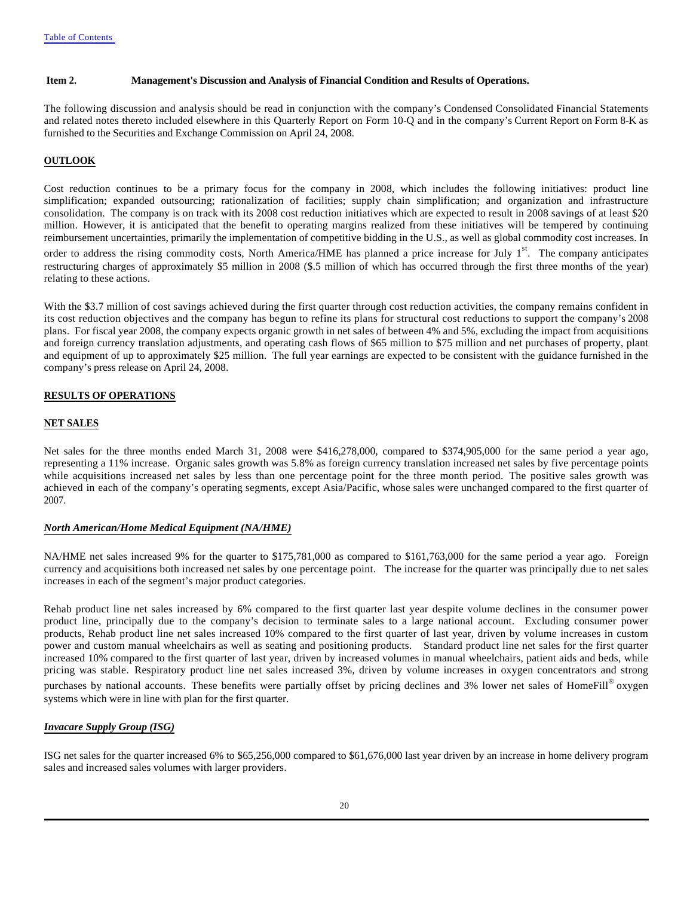### **Item 2. Management's Discussion and Analysis of Financial Condition and Results of Operations.**

The following discussion and analysis should be read in conjunction with the company's Condensed Consolidated Financial Statements and related notes thereto included elsewhere in this Quarterly Report on Form 10-Q and in the company's Current Report on Form 8-K as furnished to the Securities and Exchange Commission on April 24, 2008.

# **OUTLOOK**

Cost reduction continues to be a primary focus for the company in 2008, which includes the following initiatives: product line simplification; expanded outsourcing; rationalization of facilities; supply chain simplification; and organization and infrastructure consolidation. The company is on track with its 2008 cost reduction initiatives which are expected to result in 2008 savings of at least \$20 million. However, it is anticipated that the benefit to operating margins realized from these initiatives will be tempered by continuing reimbursement uncertainties, primarily the implementation of competitive bidding in the U.S., as well as global commodity cost increases. In order to address the rising commodity costs, North America/HME has planned a price increase for July  $1<sup>st</sup>$ . The company anticipates restructuring charges of approximately \$5 million in 2008 (\$.5 million of which has occurred through the first three months of the year) relating to these actions.

With the \$3.7 million of cost savings achieved during the first quarter through cost reduction activities, the company remains confident in its cost reduction objectives and the company has begun to refine its plans for structural cost reductions to support the company's 2008 plans. For fiscal year 2008, the company expects organic growth in net sales of between 4% and 5%, excluding the impact from acquisitions and foreign currency translation adjustments, and operating cash flows of \$65 million to \$75 million and net purchases of property, plant and equipment of up to approximately \$25 million. The full year earnings are expected to be consistent with the guidance furnished in the company's press release on April 24, 2008.

## **RESULTS OF OPERATIONS**

## **NET SALES**

Net sales for the three months ended March 31, 2008 were \$416,278,000, compared to \$374,905,000 for the same period a year ago, representing a 11% increase. Organic sales growth was 5.8% as foreign currency translation increased net sales by five percentage points while acquisitions increased net sales by less than one percentage point for the three month period. The positive sales growth was achieved in each of the company's operating segments, except Asia/Pacific, whose sales were unchanged compared to the first quarter of 2007.

## *North American/Home Medical Equipment (NA/HME)*

NA/HME net sales increased 9% for the quarter to \$175,781,000 as compared to \$161,763,000 for the same period a year ago. Foreign currency and acquisitions both increased net sales by one percentage point. The increase for the quarter was principally due to net sales increases in each of the segment's major product categories.

Rehab product line net sales increased by 6% compared to the first quarter last year despite volume declines in the consumer power product line, principally due to the company's decision to terminate sales to a large national account. Excluding consumer power products, Rehab product line net sales increased 10% compared to the first quarter of last year, driven by volume increases in custom power and custom manual wheelchairs as well as seating and positioning products. Standard product line net sales for the first quarter increased 10% compared to the first quarter of last year, driven by increased volumes in manual wheelchairs, patient aids and beds, while pricing was stable. Respiratory product line net sales increased 3%, driven by volume increases in oxygen concentrators and strong purchases by national accounts. These benefits were partially offset by pricing declines and 3% lower net sales of HomeFill® oxygen systems which were in line with plan for the first quarter.

# *Invacare Supply Group (ISG)*

ISG net sales for the quarter increased 6% to \$65,256,000 compared to \$61,676,000 last year driven by an increase in home delivery program sales and increased sales volumes with larger providers.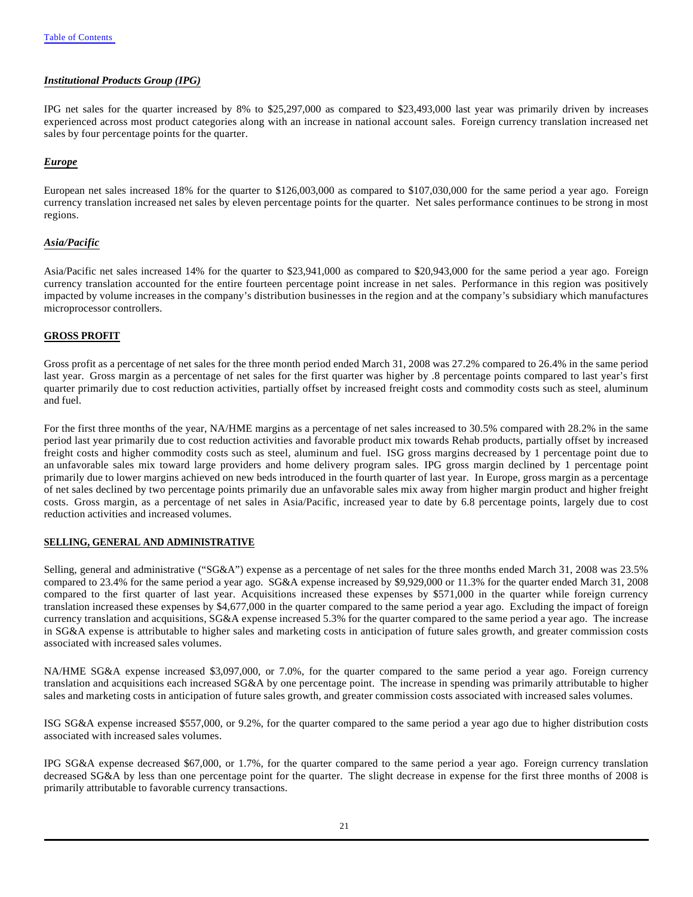# *Institutional Products Group (IPG)*

IPG net sales for the quarter increased by 8% to \$25,297,000 as compared to \$23,493,000 last year was primarily driven by increases experienced across most product categories along with an increase in national account sales. Foreign currency translation increased net sales by four percentage points for the quarter.

# *Europe*

European net sales increased 18% for the quarter to \$126,003,000 as compared to \$107,030,000 for the same period a year ago. Foreign currency translation increased net sales by eleven percentage points for the quarter. Net sales performance continues to be strong in most regions.

# *Asia/Pacific*

Asia/Pacific net sales increased 14% for the quarter to \$23,941,000 as compared to \$20,943,000 for the same period a year ago. Foreign currency translation accounted for the entire fourteen percentage point increase in net sales. Performance in this region was positively impacted by volume increases in the company's distribution businesses in the region and at the company's subsidiary which manufactures microprocessor controllers.

# **GROSS PROFIT**

Gross profit as a percentage of net sales for the three month period ended March 31, 2008 was 27.2% compared to 26.4% in the same period last year. Gross margin as a percentage of net sales for the first quarter was higher by .8 percentage points compared to last year's first quarter primarily due to cost reduction activities, partially offset by increased freight costs and commodity costs such as steel, aluminum and fuel.

For the first three months of the year, NA/HME margins as a percentage of net sales increased to 30.5% compared with 28.2% in the same period last year primarily due to cost reduction activities and favorable product mix towards Rehab products, partially offset by increased freight costs and higher commodity costs such as steel, aluminum and fuel. ISG gross margins decreased by 1 percentage point due to an unfavorable sales mix toward large providers and home delivery program sales. IPG gross margin declined by 1 percentage point primarily due to lower margins achieved on new beds introduced in the fourth quarter of last year. In Europe, gross margin as a percentage of net sales declined by two percentage points primarily due an unfavorable sales mix away from higher margin product and higher freight costs. Gross margin, as a percentage of net sales in Asia/Pacific, increased year to date by 6.8 percentage points, largely due to cost reduction activities and increased volumes.

# **SELLING, GENERAL AND ADMINISTRATIVE**

Selling, general and administrative ("SG&A") expense as a percentage of net sales for the three months ended March 31, 2008 was 23.5% compared to 23.4% for the same period a year ago. SG&A expense increased by \$9,929,000 or 11.3% for the quarter ended March 31, 2008 compared to the first quarter of last year. Acquisitions increased these expenses by \$571,000 in the quarter while foreign currency translation increased these expenses by \$4,677,000 in the quarter compared to the same period a year ago. Excluding the impact of foreign currency translation and acquisitions,  $SG&A$  expense increased 5.3% for the quarter compared to the same period a year ago. The increase in SG&A expense is attributable to higher sales and marketing costs in anticipation of future sales growth, and greater commission costs associated with increased sales volumes.

NA/HME SG&A expense increased \$3,097,000, or 7.0%, for the quarter compared to the same period a year ago. Foreign currency translation and acquisitions each increased SG&A by one percentage point. The increase in spending was primarily attributable to higher sales and marketing costs in anticipation of future sales growth, and greater commission costs associated with increased sales volumes.

ISG SG&A expense increased \$557,000, or 9.2%, for the quarter compared to the same period a year ago due to higher distribution costs associated with increased sales volumes.

IPG SG&A expense decreased \$67,000, or 1.7%, for the quarter compared to the same period a year ago. Foreign currency translation decreased SG&A by less than one percentage point for the quarter. The slight decrease in expense for the first three months of 2008 is primarily attributable to favorable currency transactions.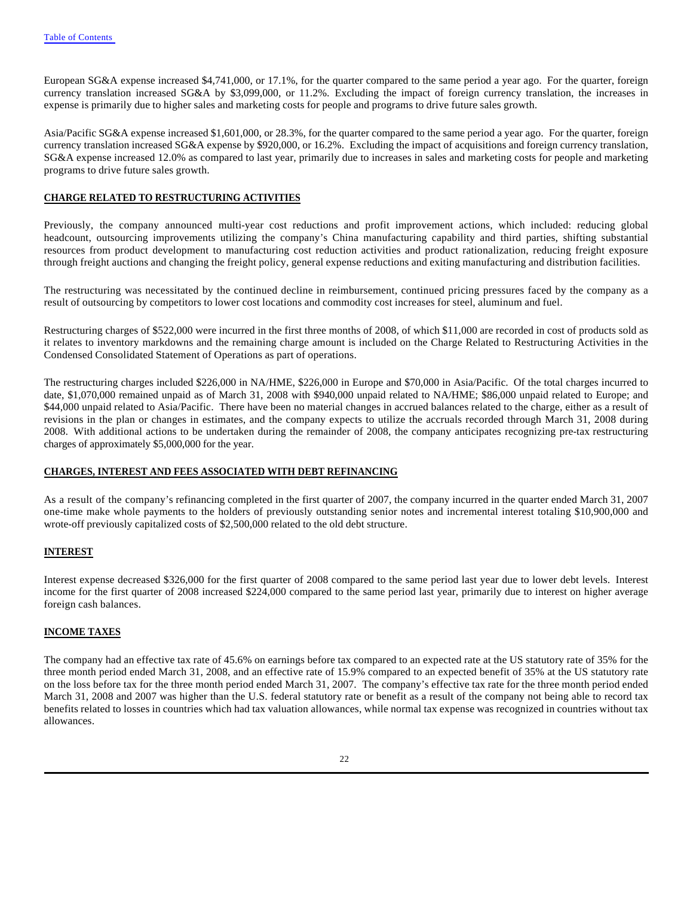European SG&A expense increased \$4,741,000, or 17.1%, for the quarter compared to the same period a year ago. For the quarter, foreign currency translation increased SG&A by \$3,099,000, or 11.2%. Excluding the impact of foreign currency translation, the increases in expense is primarily due to higher sales and marketing costs for people and programs to drive future sales growth.

Asia/Pacific SG&A expense increased \$1,601,000, or 28.3%, for the quarter compared to the same period a year ago. For the quarter, foreign currency translation increased SG&A expense by \$920,000, or 16.2%. Excluding the impact of acquisitions and foreign currency translation, SG&A expense increased 12.0% as compared to last year, primarily due to increases in sales and marketing costs for people and marketing programs to drive future sales growth.

# **CHARGE RELATED TO RESTRUCTURING ACTIVITIES**

Previously, the company announced multi-year cost reductions and profit improvement actions, which included: reducing global headcount, outsourcing improvements utilizing the company's China manufacturing capability and third parties, shifting substantial resources from product development to manufacturing cost reduction activities and product rationalization, reducing freight exposure through freight auctions and changing the freight policy, general expense reductions and exiting manufacturing and distribution facilities.

The restructuring was necessitated by the continued decline in reimbursement, continued pricing pressures faced by the company as a result of outsourcing by competitors to lower cost locations and commodity cost increases for steel, aluminum and fuel.

Restructuring charges of \$522,000 were incurred in the first three months of 2008, of which \$11,000 are recorded in cost of products sold as it relates to inventory markdowns and the remaining charge amount is included on the Charge Related to Restructuring Activities in the Condensed Consolidated Statement of Operations as part of operations.

The restructuring charges included \$226,000 in NA/HME, \$226,000 in Europe and \$70,000 in Asia/Pacific. Of the total charges incurred to date, \$1,070,000 remained unpaid as of March 31, 2008 with \$940,000 unpaid related to NA/HME; \$86,000 unpaid related to Europe; and \$44,000 unpaid related to Asia/Pacific. There have been no material changes in accrued balances related to the charge, either as a result of revisions in the plan or changes in estimates, and the company expects to utilize the accruals recorded through March 31, 2008 during 2008. With additional actions to be undertaken during the remainder of 2008, the company anticipates recognizing pre-tax restructuring charges of approximately \$5,000,000 for the year.

# **CHARGES, INTEREST AND FEES ASSOCIATED WITH DEBT REFINANCING**

As a result of the company's refinancing completed in the first quarter of 2007, the company incurred in the quarter ended March 31, 2007 one-time make whole payments to the holders of previously outstanding senior notes and incremental interest totaling \$10,900,000 and wrote-off previously capitalized costs of \$2,500,000 related to the old debt structure.

# **INTEREST**

Interest expense decreased \$326,000 for the first quarter of 2008 compared to the same period last year due to lower debt levels. Interest income for the first quarter of 2008 increased \$224,000 compared to the same period last year, primarily due to interest on higher average foreign cash balances.

## **INCOME TAXES**

The company had an effective tax rate of 45.6% on earnings before tax compared to an expected rate at the US statutory rate of 35% for the three month period ended March 31, 2008, and an effective rate of 15.9% compared to an expected benefit of 35% at the US statutory rate on the loss before tax for the three month period ended March 31, 2007. The company's effective tax rate for the three month period ended March 31, 2008 and 2007 was higher than the U.S. federal statutory rate or benefit as a result of the company not being able to record tax benefits related to losses in countries which had tax valuation allowances, while normal tax expense was recognized in countries without tax allowances.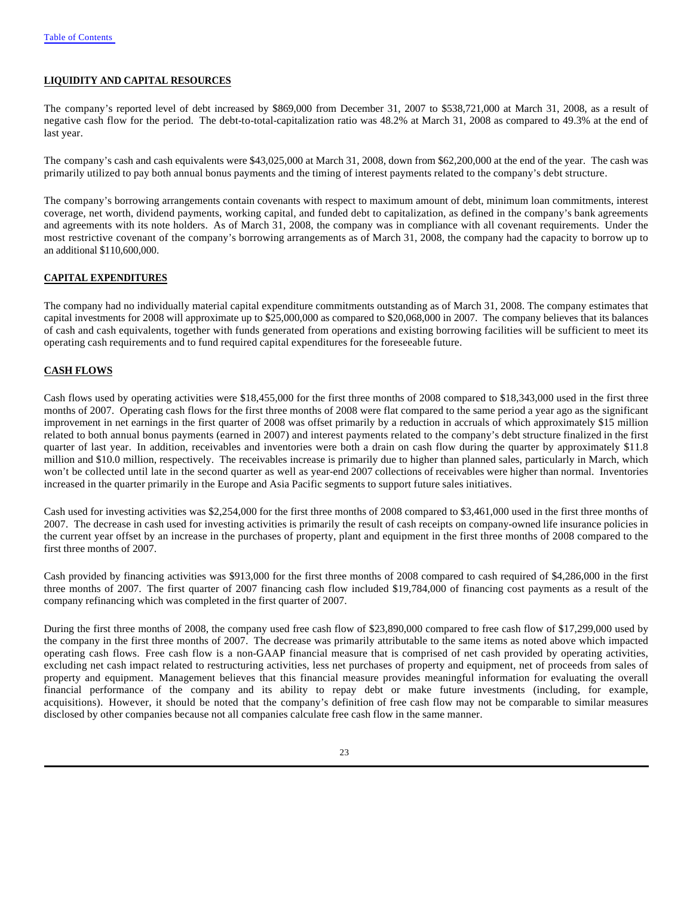# **LIQUIDITY AND CAPITAL RESOURCES**

The company's reported level of debt increased by \$869,000 from December 31, 2007 to \$538,721,000 at March 31, 2008, as a result of negative cash flow for the period. The debt-to-total-capitalization ratio was 48.2% at March 31, 2008 as compared to 49.3% at the end of last year.

The company's cash and cash equivalents were \$43,025,000 at March 31, 2008, down from \$62,200,000 at the end of the year. The cash was primarily utilized to pay both annual bonus payments and the timing of interest payments related to the company's debt structure.

The company's borrowing arrangements contain covenants with respect to maximum amount of debt, minimum loan commitments, interest coverage, net worth, dividend payments, working capital, and funded debt to capitalization, as defined in the company's bank agreements and agreements with its note holders. As of March 31, 2008, the company was in compliance with all covenant requirements. Under the most restrictive covenant of the company's borrowing arrangements as of March 31, 2008, the company had the capacity to borrow up to an additional \$110,600,000.

#### **CAPITAL EXPENDITURES**

The company had no individually material capital expenditure commitments outstanding as of March 31, 2008. The company estimates that capital investments for 2008 will approximate up to \$25,000,000 as compared to \$20,068,000 in 2007. The company believes that its balances of cash and cash equivalents, together with funds generated from operations and existing borrowing facilities will be sufficient to meet its operating cash requirements and to fund required capital expenditures for the foreseeable future.

#### **CASH FLOWS**

Cash flows used by operating activities were \$18,455,000 for the first three months of 2008 compared to \$18,343,000 used in the first three months of 2007. Operating cash flows for the first three months of 2008 were flat compared to the same period a year ago as the significant improvement in net earnings in the first quarter of 2008 was offset primarily by a reduction in accruals of which approximately \$15 million related to both annual bonus payments (earned in 2007) and interest payments related to the company's debt structure finalized in the first quarter of last year. In addition, receivables and inventories were both a drain on cash flow during the quarter by approximately \$11.8 million and \$10.0 million, respectively. The receivables increase is primarily due to higher than planned sales, particularly in March, which won't be collected until late in the second quarter as well as year-end 2007 collections of receivables were higher than normal. Inventories increased in the quarter primarily in the Europe and Asia Pacific segments to support future sales initiatives.

Cash used for investing activities was \$2,254,000 for the first three months of 2008 compared to \$3,461,000 used in the first three months of 2007. The decrease in cash used for investing activities is primarily the result of cash receipts on company-owned life insurance policies in the current year offset by an increase in the purchases of property, plant and equipment in the first three months of 2008 compared to the first three months of 2007.

Cash provided by financing activities was \$913,000 for the first three months of 2008 compared to cash required of \$4,286,000 in the first three months of 2007. The first quarter of 2007 financing cash flow included \$19,784,000 of financing cost payments as a result of the company refinancing which was completed in the first quarter of 2007.

During the first three months of 2008, the company used free cash flow of \$23,890,000 compared to free cash flow of \$17,299,000 used by the company in the first three months of 2007. The decrease was primarily attributable to the same items as noted above which impacted operating cash flows. Free cash flow is a non-GAAP financial measure that is comprised of net cash provided by operating activities, excluding net cash impact related to restructuring activities, less net purchases of property and equipment, net of proceeds from sales of property and equipment. Management believes that this financial measure provides meaningful information for evaluating the overall financial performance of the company and its ability to repay debt or make future investments (including, for example, acquisitions). However, it should be noted that the company's definition of free cash flow may not be comparable to similar measures disclosed by other companies because not all companies calculate free cash flow in the same manner.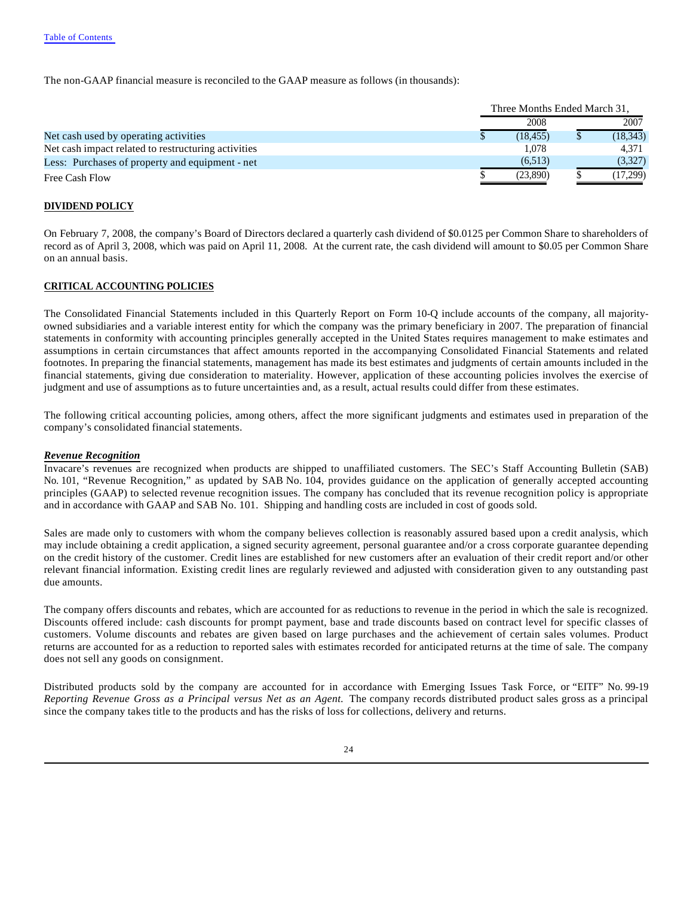The non-GAAP financial measure is reconciled to the GAAP measure as follows (in thousands):

|                                                     |   | Three Months Ended March 31. |  |           |  |  |
|-----------------------------------------------------|---|------------------------------|--|-----------|--|--|
|                                                     |   | 2008                         |  | 2007      |  |  |
| Net cash used by operating activities               | S | (18, 455)                    |  | (18, 343) |  |  |
| Net cash impact related to restructuring activities |   | 1.078                        |  | 4.371     |  |  |
| Less: Purchases of property and equipment - net     |   | (6,513)                      |  | (3,327)   |  |  |
| Free Cash Flow                                      |   | (23.890)                     |  | (17,299)  |  |  |

#### **DIVIDEND POLICY**

On February 7, 2008, the company's Board of Directors declared a quarterly cash dividend of \$0.0125 per Common Share to shareholders of record as of April 3, 2008, which was paid on April 11, 2008. At the current rate, the cash dividend will amount to \$0.05 per Common Share on an annual basis.

# **CRITICAL ACCOUNTING POLICIES**

The Consolidated Financial Statements included in this Quarterly Report on Form 10-Q include accounts of the company, all majorityowned subsidiaries and a variable interest entity for which the company was the primary beneficiary in 2007. The preparation of financial statements in conformity with accounting principles generally accepted in the United States requires management to make estimates and assumptions in certain circumstances that affect amounts reported in the accompanying Consolidated Financial Statements and related footnotes. In preparing the financial statements, management has made its best estimates and judgments of certain amounts included in the financial statements, giving due consideration to materiality. However, application of these accounting policies involves the exercise of judgment and use of assumptions as to future uncertainties and, as a result, actual results could differ from these estimates.

The following critical accounting policies, among others, affect the more significant judgments and estimates used in preparation of the company's consolidated financial statements.

#### *Revenue Recognition*

Invacare's revenues are recognized when products are shipped to unaffiliated customers. The SEC's Staff Accounting Bulletin (SAB) No. 101, "Revenue Recognition," as updated by SAB No. 104, provides guidance on the application of generally accepted accounting principles (GAAP) to selected revenue recognition issues. The company has concluded that its revenue recognition policy is appropriate and in accordance with GAAP and SAB No. 101. Shipping and handling costs are included in cost of goods sold.

Sales are made only to customers with whom the company believes collection is reasonably assured based upon a credit analysis, which may include obtaining a credit application, a signed security agreement, personal guarantee and/or a cross corporate guarantee depending on the credit history of the customer. Credit lines are established for new customers after an evaluation of their credit report and/or other relevant financial information. Existing credit lines are regularly reviewed and adjusted with consideration given to any outstanding past due amounts.

The company offers discounts and rebates, which are accounted for as reductions to revenue in the period in which the sale is recognized. Discounts offered include: cash discounts for prompt payment, base and trade discounts based on contract level for specific classes of customers. Volume discounts and rebates are given based on large purchases and the achievement of certain sales volumes. Product returns are accounted for as a reduction to reported sales with estimates recorded for anticipated returns at the time of sale. The company does not sell any goods on consignment.

Distributed products sold by the company are accounted for in accordance with Emerging Issues Task Force, or "EITF" No. 99-19 *Reporting Revenue Gross as a Principal versus Net as an Agent.* The company records distributed product sales gross as a principal since the company takes title to the products and has the risks of loss for collections, delivery and returns.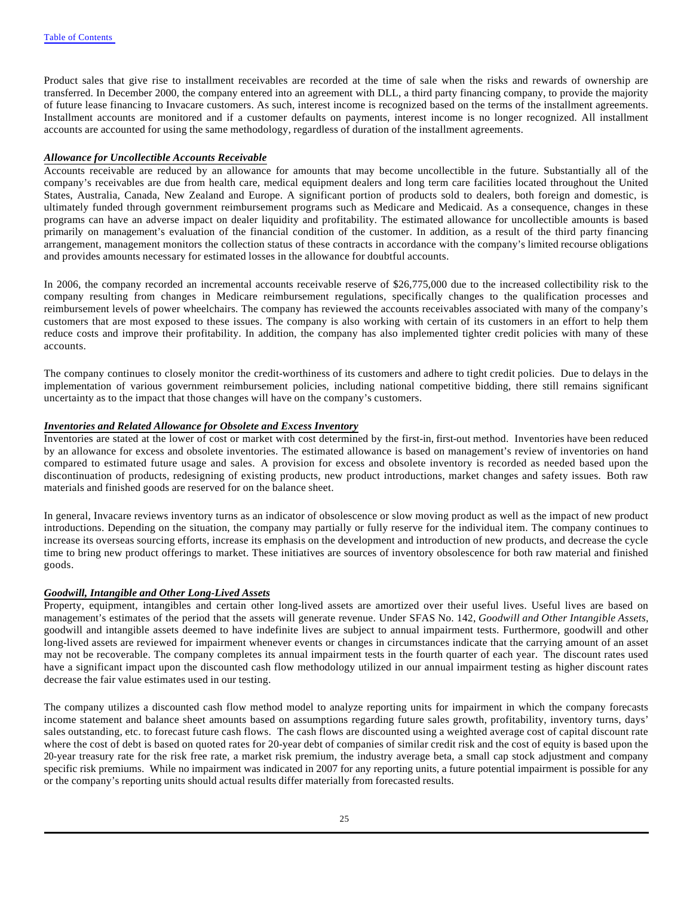Product sales that give rise to installment receivables are recorded at the time of sale when the risks and rewards of ownership are transferred. In December 2000, the company entered into an agreement with DLL, a third party financing company, to provide the majority of future lease financing to Invacare customers. As such, interest income is recognized based on the terms of the installment agreements. Installment accounts are monitored and if a customer defaults on payments, interest income is no longer recognized. All installment accounts are accounted for using the same methodology, regardless of duration of the installment agreements.

### *Allowance for Uncollectible Accounts Receivable*

Accounts receivable are reduced by an allowance for amounts that may become uncollectible in the future. Substantially all of the company's receivables are due from health care, medical equipment dealers and long term care facilities located throughout the United States, Australia, Canada, New Zealand and Europe. A significant portion of products sold to dealers, both foreign and domestic, is ultimately funded through government reimbursement programs such as Medicare and Medicaid. As a consequence, changes in these programs can have an adverse impact on dealer liquidity and profitability. The estimated allowance for uncollectible amounts is based primarily on management's evaluation of the financial condition of the customer. In addition, as a result of the third party financing arrangement, management monitors the collection status of these contracts in accordance with the company's limited recourse obligations and provides amounts necessary for estimated losses in the allowance for doubtful accounts.

In 2006, the company recorded an incremental accounts receivable reserve of \$26,775,000 due to the increased collectibility risk to the company resulting from changes in Medicare reimbursement regulations, specifically changes to the qualification processes and reimbursement levels of power wheelchairs. The company has reviewed the accounts receivables associated with many of the company's customers that are most exposed to these issues. The company is also working with certain of its customers in an effort to help them reduce costs and improve their profitability. In addition, the company has also implemented tighter credit policies with many of these accounts.

The company continues to closely monitor the credit-worthiness of its customers and adhere to tight credit policies. Due to delays in the implementation of various government reimbursement policies, including national competitive bidding, there still remains significant uncertainty as to the impact that those changes will have on the company's customers.

## *Inventories and Related Allowance for Obsolete and Excess Inventory*

Inventories are stated at the lower of cost or market with cost determined by the first-in, first-out method. Inventories have been reduced by an allowance for excess and obsolete inventories. The estimated allowance is based on management's review of inventories on hand compared to estimated future usage and sales. A provision for excess and obsolete inventory is recorded as needed based upon the discontinuation of products, redesigning of existing products, new product introductions, market changes and safety issues. Both raw materials and finished goods are reserved for on the balance sheet.

In general, Invacare reviews inventory turns as an indicator of obsolescence or slow moving product as well as the impact of new product introductions. Depending on the situation, the company may partially or fully reserve for the individual item. The company continues to increase its overseas sourcing efforts, increase its emphasis on the development and introduction of new products, and decrease the cycle time to bring new product offerings to market. These initiatives are sources of inventory obsolescence for both raw material and finished goods.

## *Goodwill, Intangible and Other Long-Lived Assets*

Property, equipment, intangibles and certain other long-lived assets are amortized over their useful lives. Useful lives are based on management's estimates of the period that the assets will generate revenue. Under SFAS No. 142, *Goodwill and Other Intangible Assets*, goodwill and intangible assets deemed to have indefinite lives are subject to annual impairment tests. Furthermore, goodwill and other long-lived assets are reviewed for impairment whenever events or changes in circumstances indicate that the carrying amount of an asset may not be recoverable. The company completes its annual impairment tests in the fourth quarter of each year. The discount rates used have a significant impact upon the discounted cash flow methodology utilized in our annual impairment testing as higher discount rates decrease the fair value estimates used in our testing.

The company utilizes a discounted cash flow method model to analyze reporting units for impairment in which the company forecasts income statement and balance sheet amounts based on assumptions regarding future sales growth, profitability, inventory turns, days' sales outstanding, etc. to forecast future cash flows. The cash flows are discounted using a weighted average cost of capital discount rate where the cost of debt is based on quoted rates for 20-year debt of companies of similar credit risk and the cost of equity is based upon the 20-year treasury rate for the risk free rate, a market risk premium, the industry average beta, a small cap stock adjustment and company specific risk premiums. While no impairment was indicated in 2007 for any reporting units, a future potential impairment is possible for any or the company's reporting units should actual results differ materially from forecasted results.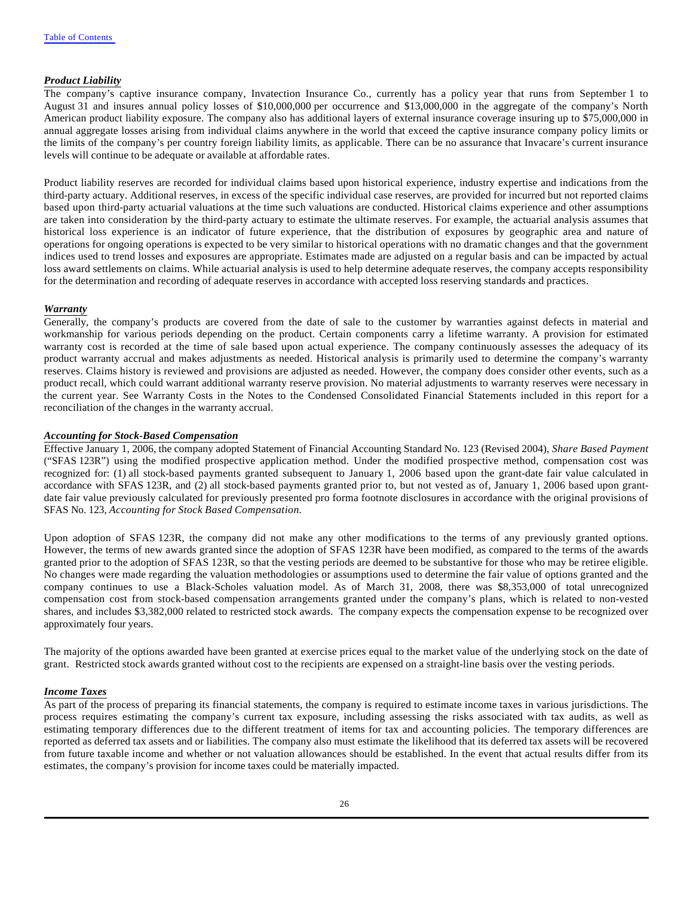# *Product Liability*

The company's captive insurance company, Invatection Insurance Co., currently has a policy year that runs from September 1 to August 31 and insures annual policy losses of \$10,000,000 per occurrence and \$13,000,000 in the aggregate of the company's North American product liability exposure. The company also has additional layers of external insurance coverage insuring up to \$75,000,000 in annual aggregate losses arising from individual claims anywhere in the world that exceed the captive insurance company policy limits or the limits of the company's per country foreign liability limits, as applicable. There can be no assurance that Invacare's current insurance levels will continue to be adequate or available at affordable rates.

Product liability reserves are recorded for individual claims based upon historical experience, industry expertise and indications from the third-party actuary. Additional reserves, in excess of the specific individual case reserves, are provided for incurred but not reported claims based upon third-party actuarial valuations at the time such valuations are conducted. Historical claims experience and other assumptions are taken into consideration by the third-party actuary to estimate the ultimate reserves. For example, the actuarial analysis assumes that historical loss experience is an indicator of future experience, that the distribution of exposures by geographic area and nature of operations for ongoing operations is expected to be very similar to historical operations with no dramatic changes and that the government indices used to trend losses and exposures are appropriate. Estimates made are adjusted on a regular basis and can be impacted by actual loss award settlements on claims. While actuarial analysis is used to help determine adequate reserves, the company accepts responsibility for the determination and recording of adequate reserves in accordance with accepted loss reserving standards and practices.

## *Warranty*

Generally, the company's products are covered from the date of sale to the customer by warranties against defects in material and workmanship for various periods depending on the product. Certain components carry a lifetime warranty. A provision for estimated warranty cost is recorded at the time of sale based upon actual experience. The company continuously assesses the adequacy of its product warranty accrual and makes adjustments as needed. Historical analysis is primarily used to determine the company's warranty reserves. Claims history is reviewed and provisions are adjusted as needed. However, the company does consider other events, such as a product recall, which could warrant additional warranty reserve provision. No material adjustments to warranty reserves were necessary in the current year. See Warranty Costs in the Notes to the Condensed Consolidated Financial Statements included in this report for a reconciliation of the changes in the warranty accrual.

# *Accounting for Stock-Based Compensation*

Effective January 1, 2006, the company adopted Statement of Financial Accounting Standard No. 123 (Revised 2004), *Share Based Payment* ("SFAS 123R") using the modified prospective application method. Under the modified prospective method, compensation cost was recognized for: (1) all stock-based payments granted subsequent to January 1, 2006 based upon the grant-date fair value calculated in accordance with SFAS 123R, and (2) all stock-based payments granted prior to, but not vested as of, January 1, 2006 based upon grantdate fair value previously calculated for previously presented pro forma footnote disclosures in accordance with the original provisions of SFAS No. 123, *Accounting for Stock Based Compensation.*

Upon adoption of SFAS 123R, the company did not make any other modifications to the terms of any previously granted options. However, the terms of new awards granted since the adoption of SFAS 123R have been modified, as compared to the terms of the awards granted prior to the adoption of SFAS 123R, so that the vesting periods are deemed to be substantive for those who may be retiree eligible. No changes were made regarding the valuation methodologies or assumptions used to determine the fair value of options granted and the company continues to use a Black-Scholes valuation model. As of March 31, 2008, there was \$8,353,000 of total unrecognized compensation cost from stock-based compensation arrangements granted under the company's plans, which is related to non-vested shares, and includes \$3,382,000 related to restricted stock awards. The company expects the compensation expense to be recognized over approximately four years.

The majority of the options awarded have been granted at exercise prices equal to the market value of the underlying stock on the date of grant. Restricted stock awards granted without cost to the recipients are expensed on a straight-line basis over the vesting periods.

## *Income Taxes*

As part of the process of preparing its financial statements, the company is required to estimate income taxes in various jurisdictions. The process requires estimating the company's current tax exposure, including assessing the risks associated with tax audits, as well as estimating temporary differences due to the different treatment of items for tax and accounting policies. The temporary differences are reported as deferred tax assets and or liabilities. The company also must estimate the likelihood that its deferred tax assets will be recovered from future taxable income and whether or not valuation allowances should be established. In the event that actual results differ from its estimates, the company's provision for income taxes could be materially impacted.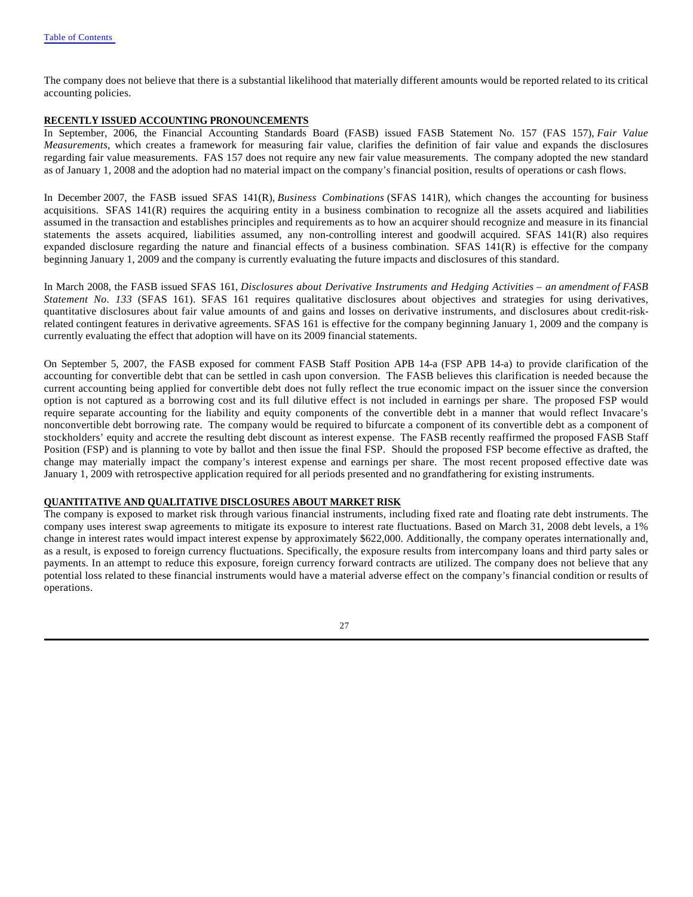The company does not believe that there is a substantial likelihood that materially different amounts would be reported related to its critical accounting policies.

#### **RECENTLY ISSUED ACCOUNTING PRONOUNCEMENTS**

In September, 2006, the Financial Accounting Standards Board (FASB) issued FASB Statement No. 157 (FAS 157), *Fair Value Measurements*, which creates a framework for measuring fair value, clarifies the definition of fair value and expands the disclosures regarding fair value measurements. FAS 157 does not require any new fair value measurements. The company adopted the new standard as of January 1, 2008 and the adoption had no material impact on the company's financial position, results of operations or cash flows.

In December 2007, the FASB issued SFAS 141(R), *Business Combinations* (SFAS 141R), which changes the accounting for business acquisitions. SFAS 141(R) requires the acquiring entity in a business combination to recognize all the assets acquired and liabilities assumed in the transaction and establishes principles and requirements as to how an acquirer should recognize and measure in its financial statements the assets acquired, liabilities assumed, any non-controlling interest and goodwill acquired. SFAS 141(R) also requires expanded disclosure regarding the nature and financial effects of a business combination. SFAS  $141(R)$  is effective for the company beginning January 1, 2009 and the company is currently evaluating the future impacts and disclosures of this standard.

In March 2008, the FASB issued SFAS 161, *Disclosures about Derivative Instruments and Hedging Activities – an amendment of FASB Statement No. 133* (SFAS 161). SFAS 161 requires qualitative disclosures about objectives and strategies for using derivatives, quantitative disclosures about fair value amounts of and gains and losses on derivative instruments, and disclosures about credit-riskrelated contingent features in derivative agreements. SFAS 161 is effective for the company beginning January 1, 2009 and the company is currently evaluating the effect that adoption will have on its 2009 financial statements.

On September 5, 2007, the FASB exposed for comment FASB Staff Position APB 14-a (FSP APB 14-a) to provide clarification of the accounting for convertible debt that can be settled in cash upon conversion. The FASB believes this clarification is needed because the current accounting being applied for convertible debt does not fully reflect the true economic impact on the issuer since the conversion option is not captured as a borrowing cost and its full dilutive effect is not included in earnings per share. The proposed FSP would require separate accounting for the liability and equity components of the convertible debt in a manner that would reflect Invacare's nonconvertible debt borrowing rate. The company would be required to bifurcate a component of its convertible debt as a component of stockholders' equity and accrete the resulting debt discount as interest expense. The FASB recently reaffirmed the proposed FASB Staff Position (FSP) and is planning to vote by ballot and then issue the final FSP. Should the proposed FSP become effective as drafted, the change may materially impact the company's interest expense and earnings per share. The most recent proposed effective date was January 1, 2009 with retrospective application required for all periods presented and no grandfathering for existing instruments.

#### **QUANTITATIVE AND QUALITATIVE DISCLOSURES ABOUT MARKET RISK**

The company is exposed to market risk through various financial instruments, including fixed rate and floating rate debt instruments. The company uses interest swap agreements to mitigate its exposure to interest rate fluctuations. Based on March 31, 2008 debt levels, a 1% change in interest rates would impact interest expense by approximately \$622,000. Additionally, the company operates internationally and, as a result, is exposed to foreign currency fluctuations. Specifically, the exposure results from intercompany loans and third party sales or payments. In an attempt to reduce this exposure, foreign currency forward contracts are utilized. The company does not believe that any potential loss related to these financial instruments would have a material adverse effect on the company's financial condition or results of operations.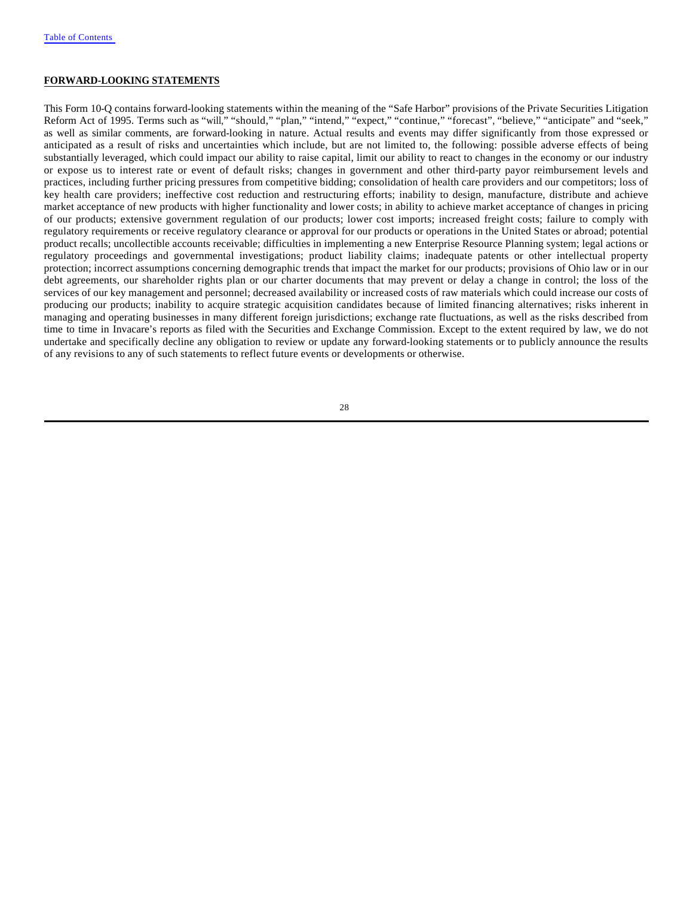#### **FORWARD-LOOKING STATEMENTS**

This Form 10-Q contains forward-looking statements within the meaning of the "Safe Harbor" provisions of the Private Securities Litigation Reform Act of 1995. Terms such as "will," "should," "plan," "intend," "expect," "continue," "forecast", "believe," "anticipate" and "seek," as well as similar comments, are forward-looking in nature. Actual results and events may differ significantly from those expressed or anticipated as a result of risks and uncertainties which include, but are not limited to, the following: possible adverse effects of being substantially leveraged, which could impact our ability to raise capital, limit our ability to react to changes in the economy or our industry or expose us to interest rate or event of default risks; changes in government and other third-party payor reimbursement levels and practices, including further pricing pressures from competitive bidding; consolidation of health care providers and our competitors; loss of key health care providers; ineffective cost reduction and restructuring efforts; inability to design, manufacture, distribute and achieve market acceptance of new products with higher functionality and lower costs; in ability to achieve market acceptance of changes in pricing of our products; extensive government regulation of our products; lower cost imports; increased freight costs; failure to comply with regulatory requirements or receive regulatory clearance or approval for our products or operations in the United States or abroad; potential product recalls; uncollectible accounts receivable; difficulties in implementing a new Enterprise Resource Planning system; legal actions or regulatory proceedings and governmental investigations; product liability claims; inadequate patents or other intellectual property protection; incorrect assumptions concerning demographic trends that impact the market for our products; provisions of Ohio law or in our debt agreements, our shareholder rights plan or our charter documents that may prevent or delay a change in control; the loss of the services of our key management and personnel; decreased availability or increased costs of raw materials which could increase our costs of producing our products; inability to acquire strategic acquisition candidates because of limited financing alternatives; risks inherent in managing and operating businesses in many different foreign jurisdictions; exchange rate fluctuations, as well as the risks described from time to time in Invacare's reports as filed with the Securities and Exchange Commission. Except to the extent required by law, we do not undertake and specifically decline any obligation to review or update any forward-looking statements or to publicly announce the results of any revisions to any of such statements to reflect future events or developments or otherwise.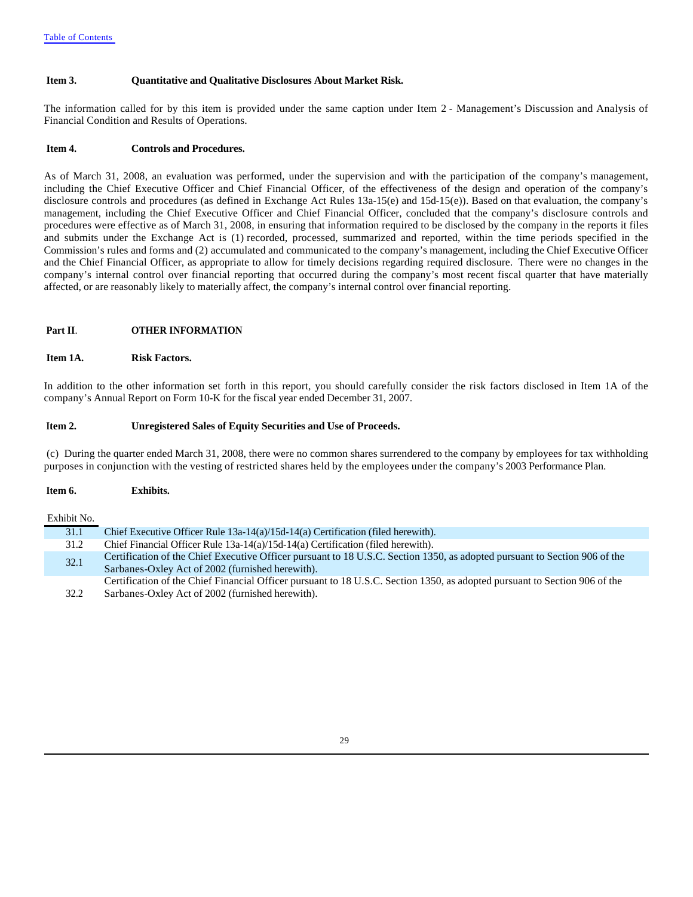# **Item 3. Quantitative and Qualitative Disclosures About Market Risk.**

The information called for by this item is provided under the same caption under Item 2 - Management's Discussion and Analysis of Financial Condition and Results of Operations.

#### **Item 4. Controls and Procedures.**

As of March 31, 2008, an evaluation was performed, under the supervision and with the participation of the company's management, including the Chief Executive Officer and Chief Financial Officer, of the effectiveness of the design and operation of the company's disclosure controls and procedures (as defined in Exchange Act Rules 13a-15(e) and 15d-15(e)). Based on that evaluation, the company's management, including the Chief Executive Officer and Chief Financial Officer, concluded that the company's disclosure controls and procedures were effective as of March 31, 2008, in ensuring that information required to be disclosed by the company in the reports it files and submits under the Exchange Act is (1) recorded, processed, summarized and reported, within the time periods specified in the Commission's rules and forms and (2) accumulated and communicated to the company's management, including the Chief Executive Officer and the Chief Financial Officer, as appropriate to allow for timely decisions regarding required disclosure. There were no changes in the company's internal control over financial reporting that occurred during the company's most recent fiscal quarter that have materially affected, or are reasonably likely to materially affect, the company's internal control over financial reporting.

# **Part II**. **OTHER INFORMATION**

## **Item 1A. Risk Factors.**

In addition to the other information set forth in this report, you should carefully consider the risk factors disclosed in Item 1A of the company's Annual Report on Form 10-K for the fiscal year ended December 31, 2007.

## **Item 2. Unregistered Sales of Equity Securities and Use of Proceeds.**

 (c) During the quarter ended March 31, 2008, there were no common shares surrendered to the company by employees for tax withholding purposes in conjunction with the vesting of restricted shares held by the employees under the company's 2003 Performance Plan.

#### **Item 6. Exhibits.**

#### Exhibit No.

| $\mu$ |                                                                                                                            |
|-------|----------------------------------------------------------------------------------------------------------------------------|
| 31.1  | Chief Executive Officer Rule $13a-14(a)/15d-14(a)$ Certification (filed herewith).                                         |
| 31.2  | Chief Financial Officer Rule $13a-14(a)/15d-14(a)$ Certification (filed herewith).                                         |
| 32.1  | Certification of the Chief Executive Officer pursuant to 18 U.S.C. Section 1350, as adopted pursuant to Section 906 of the |
|       | Sarbanes-Oxley Act of 2002 (furnished herewith).                                                                           |
|       | Certification of the Chief Financial Officer pursuant to 18 U.S.C. Section 1350, as adopted pursuant to Section 906 of the |
| 32.2  | Sarbanes-Oxley Act of 2002 (furnished herewith).                                                                           |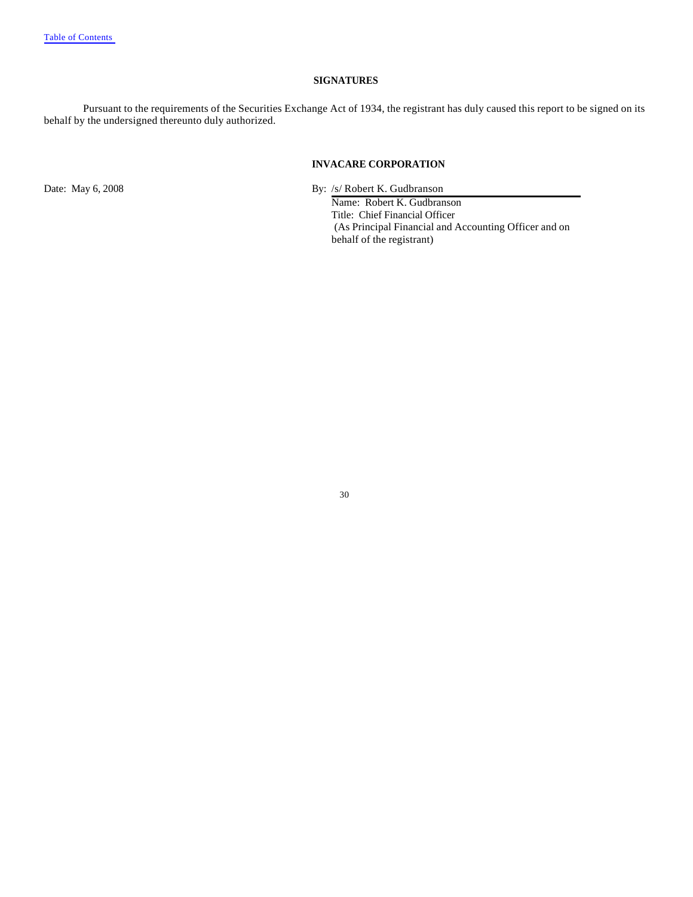#### **SIGNATURES**

Pursuant to the requirements of the Securities Exchange Act of 1934, the registrant has duly caused this report to be signed on its behalf by the undersigned thereunto duly authorized.

## **INVACARE CORPORATION**

Date: May 6, 2008 By: /s/ Robert K. Gudbranson

 Name: Robert K. Gudbranson Title: Chief Financial Officer (As Principal Financial and Accounting Officer and on behalf of the registrant)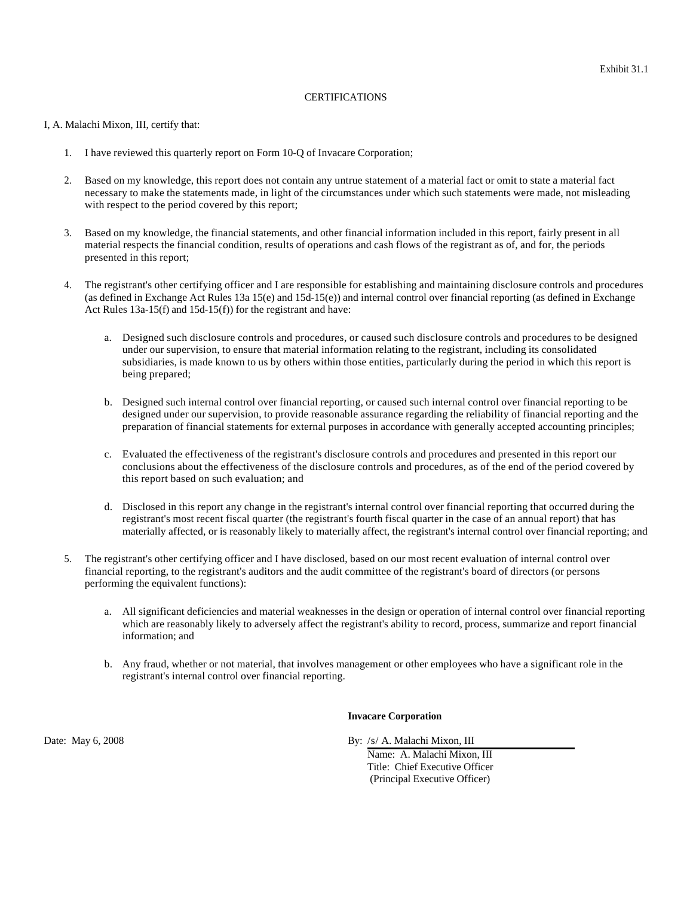### **CERTIFICATIONS**

#### I, A. Malachi Mixon, III, certify that:

- 1. I have reviewed this quarterly report on Form 10-Q of Invacare Corporation;
- 2. Based on my knowledge, this report does not contain any untrue statement of a material fact or omit to state a material fact necessary to make the statements made, in light of the circumstances under which such statements were made, not misleading with respect to the period covered by this report;
- 3. Based on my knowledge, the financial statements, and other financial information included in this report, fairly present in all material respects the financial condition, results of operations and cash flows of the registrant as of, and for, the periods presented in this report;
- 4. The registrant's other certifying officer and I are responsible for establishing and maintaining disclosure controls and procedures (as defined in Exchange Act Rules 13a 15(e) and 15d-15(e)) and internal control over financial reporting (as defined in Exchange Act Rules 13a-15(f) and 15d-15(f)) for the registrant and have:
	- a. Designed such disclosure controls and procedures, or caused such disclosure controls and procedures to be designed under our supervision, to ensure that material information relating to the registrant, including its consolidated subsidiaries, is made known to us by others within those entities, particularly during the period in which this report is being prepared;
	- b. Designed such internal control over financial reporting, or caused such internal control over financial reporting to be designed under our supervision, to provide reasonable assurance regarding the reliability of financial reporting and the preparation of financial statements for external purposes in accordance with generally accepted accounting principles;
	- c. Evaluated the effectiveness of the registrant's disclosure controls and procedures and presented in this report our conclusions about the effectiveness of the disclosure controls and procedures, as of the end of the period covered by this report based on such evaluation; and
	- d. Disclosed in this report any change in the registrant's internal control over financial reporting that occurred during the registrant's most recent fiscal quarter (the registrant's fourth fiscal quarter in the case of an annual report) that has materially affected, or is reasonably likely to materially affect, the registrant's internal control over financial reporting; and
- 5. The registrant's other certifying officer and I have disclosed, based on our most recent evaluation of internal control over financial reporting, to the registrant's auditors and the audit committee of the registrant's board of directors (or persons performing the equivalent functions):
	- a. All significant deficiencies and material weaknesses in the design or operation of internal control over financial reporting which are reasonably likely to adversely affect the registrant's ability to record, process, summarize and report financial information; and
	- b. Any fraud, whether or not material, that involves management or other employees who have a significant role in the registrant's internal control over financial reporting.

#### **Invacare Corporation**

Date: May 6, 2008 **By:** /s/ A. Malachi Mixon, III

 Name: A. Malachi Mixon, III Title: Chief Executive Officer (Principal Executive Officer)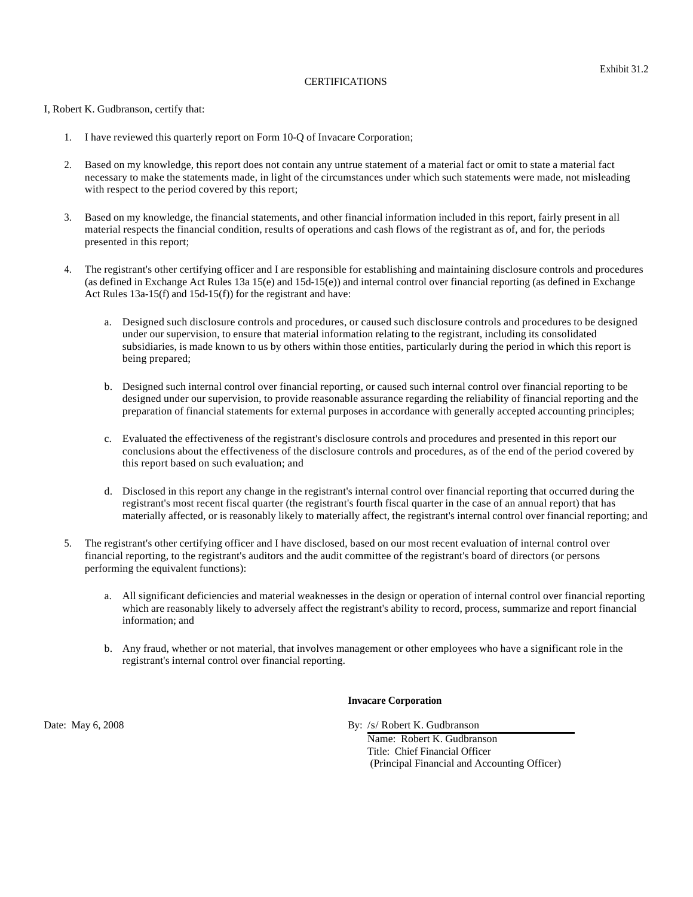# **CERTIFICATIONS**

I, Robert K. Gudbranson, certify that:

- 1. I have reviewed this quarterly report on Form 10-Q of Invacare Corporation;
- 2. Based on my knowledge, this report does not contain any untrue statement of a material fact or omit to state a material fact necessary to make the statements made, in light of the circumstances under which such statements were made, not misleading with respect to the period covered by this report;
- 3. Based on my knowledge, the financial statements, and other financial information included in this report, fairly present in all material respects the financial condition, results of operations and cash flows of the registrant as of, and for, the periods presented in this report;
- 4. The registrant's other certifying officer and I are responsible for establishing and maintaining disclosure controls and procedures (as defined in Exchange Act Rules 13a 15(e) and 15d-15(e)) and internal control over financial reporting (as defined in Exchange Act Rules 13a-15(f) and 15d-15(f)) for the registrant and have:
	- a. Designed such disclosure controls and procedures, or caused such disclosure controls and procedures to be designed under our supervision, to ensure that material information relating to the registrant, including its consolidated subsidiaries, is made known to us by others within those entities, particularly during the period in which this report is being prepared;
	- b. Designed such internal control over financial reporting, or caused such internal control over financial reporting to be designed under our supervision, to provide reasonable assurance regarding the reliability of financial reporting and the preparation of financial statements for external purposes in accordance with generally accepted accounting principles;
	- c. Evaluated the effectiveness of the registrant's disclosure controls and procedures and presented in this report our conclusions about the effectiveness of the disclosure controls and procedures, as of the end of the period covered by this report based on such evaluation; and
	- d. Disclosed in this report any change in the registrant's internal control over financial reporting that occurred during the registrant's most recent fiscal quarter (the registrant's fourth fiscal quarter in the case of an annual report) that has materially affected, or is reasonably likely to materially affect, the registrant's internal control over financial reporting; and
- 5. The registrant's other certifying officer and I have disclosed, based on our most recent evaluation of internal control over financial reporting, to the registrant's auditors and the audit committee of the registrant's board of directors (or persons performing the equivalent functions):
	- a. All significant deficiencies and material weaknesses in the design or operation of internal control over financial reporting which are reasonably likely to adversely affect the registrant's ability to record, process, summarize and report financial information; and
	- b. Any fraud, whether or not material, that involves management or other employees who have a significant role in the registrant's internal control over financial reporting.

## **Invacare Corporation**

Date: May 6, 2008 **By:** /s/ Robert K. Gudbranson

 Name: Robert K. Gudbranson Title: Chief Financial Officer (Principal Financial and Accounting Officer)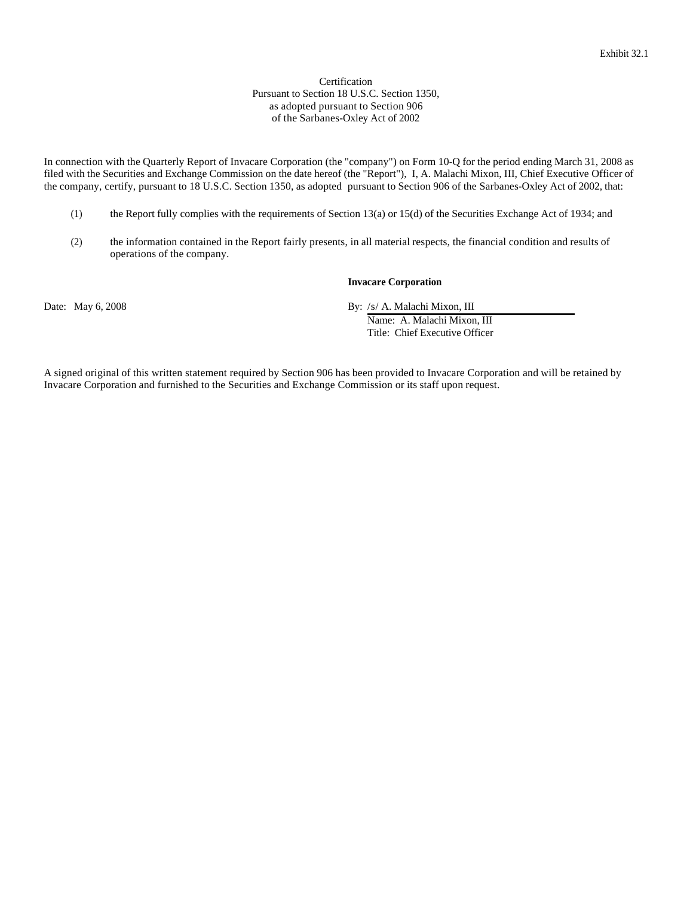# Certification Pursuant to Section 18 U.S.C. Section 1350, as adopted pursuant to Section 906 of the Sarbanes-Oxley Act of 2002

In connection with the Quarterly Report of Invacare Corporation (the "company") on Form 10-Q for the period ending March 31, 2008 as filed with the Securities and Exchange Commission on the date hereof (the "Report"), I, A. Malachi Mixon, III, Chief Executive Officer of the company, certify, pursuant to 18 U.S.C. Section 1350, as adopted pursuant to Section 906 of the Sarbanes-Oxley Act of 2002, that:

- (1) the Report fully complies with the requirements of Section 13(a) or 15(d) of the Securities Exchange Act of 1934; and
- (2) the information contained in the Report fairly presents, in all material respects, the financial condition and results of operations of the company.

## **Invacare Corporation**

Date: May 6, 2008 By: /s/ A. Malachi Mixon, III

 Name: A. Malachi Mixon, III Title: Chief Executive Officer

A signed original of this written statement required by Section 906 has been provided to Invacare Corporation and will be retained by Invacare Corporation and furnished to the Securities and Exchange Commission or its staff upon request.